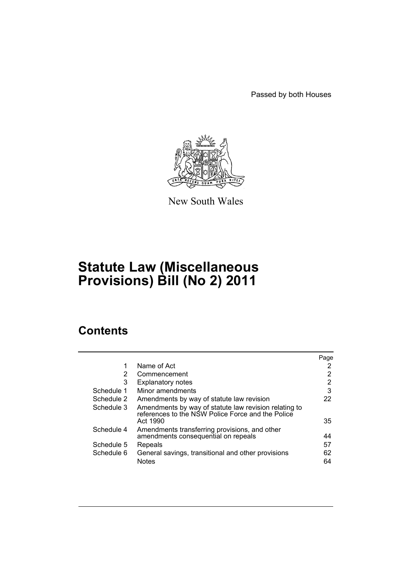Passed by both Houses



New South Wales

# **Statute Law (Miscellaneous Provisions) Bill (No 2) 2011**

# **Contents**

|            |                                                                                                                        | Page |
|------------|------------------------------------------------------------------------------------------------------------------------|------|
| 1          | Name of Act                                                                                                            | 2    |
| 2          | Commencement                                                                                                           | 2    |
| 3          | <b>Explanatory notes</b>                                                                                               | 2    |
| Schedule 1 | Minor amendments                                                                                                       | 3    |
| Schedule 2 | Amendments by way of statute law revision                                                                              | 22   |
| Schedule 3 | Amendments by way of statute law revision relating to<br>references to the NSW Police Force and the Police<br>Act 1990 | 35   |
| Schedule 4 | Amendments transferring provisions, and other                                                                          |      |
|            | amendments consequential on repeals                                                                                    | 44   |
| Schedule 5 | Repeals                                                                                                                | 57   |
| Schedule 6 | General savings, transitional and other provisions                                                                     | 62   |
|            | <b>Notes</b>                                                                                                           | 64   |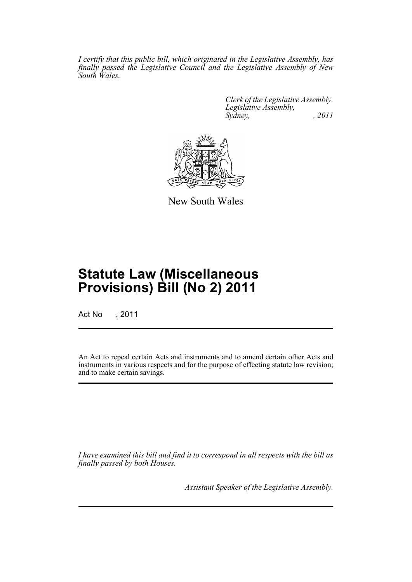*I certify that this public bill, which originated in the Legislative Assembly, has finally passed the Legislative Council and the Legislative Assembly of New South Wales.*

> *Clerk of the Legislative Assembly. Legislative Assembly, Sydney, , 2011*



New South Wales

# **Statute Law (Miscellaneous Provisions) Bill (No 2) 2011**

Act No , 2011

An Act to repeal certain Acts and instruments and to amend certain other Acts and instruments in various respects and for the purpose of effecting statute law revision; and to make certain savings.

*I have examined this bill and find it to correspond in all respects with the bill as finally passed by both Houses.*

*Assistant Speaker of the Legislative Assembly.*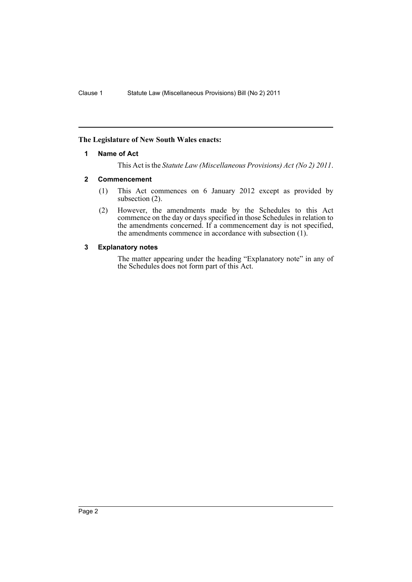# <span id="page-3-0"></span>**The Legislature of New South Wales enacts:**

### **1 Name of Act**

This Act is the *Statute Law (Miscellaneous Provisions) Act (No 2) 2011*.

### <span id="page-3-1"></span>**2 Commencement**

- (1) This Act commences on 6 January 2012 except as provided by subsection  $(2)$ .
- (2) However, the amendments made by the Schedules to this Act commence on the day or days specified in those Schedules in relation to the amendments concerned. If a commencement day is not specified, the amendments commence in accordance with subsection (1).

# <span id="page-3-2"></span>**3 Explanatory notes**

The matter appearing under the heading "Explanatory note" in any of the Schedules does not form part of this Act.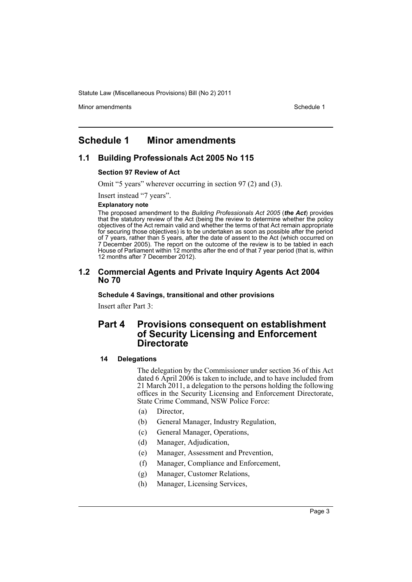Minor amendments **Schedule 1** and the state of the state 1 and the state of the Schedule 1

# <span id="page-4-0"></span>**Schedule 1 Minor amendments**

# **1.1 Building Professionals Act 2005 No 115**

### **Section 97 Review of Act**

Omit "5 years" wherever occurring in section 97 (2) and (3).

Insert instead "7 years".

### **Explanatory note**

The proposed amendment to the *Building Professionals Act 2005* (*the Act*) provides that the statutory review of the Act (being the review to determine whether the policy objectives of the Act remain valid and whether the terms of that Act remain appropriate for securing those objectives) is to be undertaken as soon as possible after the period of 7 years, rather than 5 years, after the date of assent to the Act (which occurred on 7 December 2005). The report on the outcome of the review is to be tabled in each House of Parliament within 12 months after the end of that 7 year period (that is, within 12 months after 7 December 2012).

# **1.2 Commercial Agents and Private Inquiry Agents Act 2004 No 70**

### **Schedule 4 Savings, transitional and other provisions**

Insert after Part 3:

# **Part 4 Provisions consequent on establishment of Security Licensing and Enforcement Directorate**

### **14 Delegations**

The delegation by the Commissioner under section 36 of this Act dated 6 April 2006 is taken to include, and to have included from 21 March 2011, a delegation to the persons holding the following offices in the Security Licensing and Enforcement Directorate, State Crime Command, NSW Police Force:

- (a) Director,
- (b) General Manager, Industry Regulation,
- (c) General Manager, Operations,
- (d) Manager, Adjudication,
- (e) Manager, Assessment and Prevention,
- (f) Manager, Compliance and Enforcement,
- (g) Manager, Customer Relations,
- (h) Manager, Licensing Services,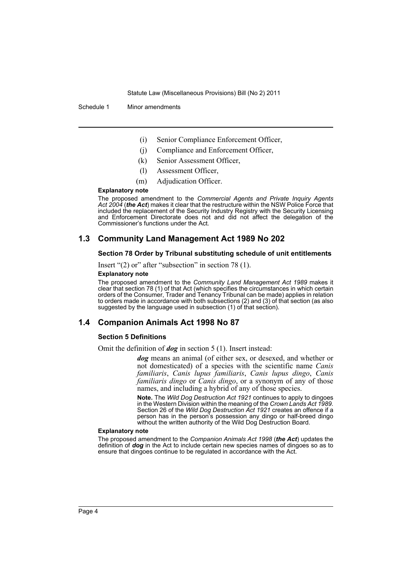Schedule 1 Minor amendments

- (i) Senior Compliance Enforcement Officer,
- (j) Compliance and Enforcement Officer,
- (k) Senior Assessment Officer,
- (l) Assessment Officer,
- (m) Adjudication Officer.

### **Explanatory note**

The proposed amendment to the *Commercial Agents and Private Inquiry Agents Act 2004* (*the Act*) makes it clear that the restructure within the NSW Police Force that included the replacement of the Security Industry Registry with the Security Licensing and Enforcement Directorate does not and did not affect the delegation of the Commissioner's functions under the Act.

# **1.3 Community Land Management Act 1989 No 202**

### **Section 78 Order by Tribunal substituting schedule of unit entitlements**

Insert "(2) or" after "subsection" in section 78 (1).

### **Explanatory note**

The proposed amendment to the *Community Land Management Act 1989* makes it clear that section 78 (1) of that Act (which specifies the circumstances in which certain orders of the Consumer, Trader and Tenancy Tribunal can be made) applies in relation to orders made in accordance with both subsections (2) and (3) of that section (as also suggested by the language used in subsection (1) of that section).

# **1.4 Companion Animals Act 1998 No 87**

### **Section 5 Definitions**

Omit the definition of *dog* in section 5 (1). Insert instead:

*dog* means an animal (of either sex, or desexed, and whether or not domesticated) of a species with the scientific name *Canis familiaris*, *Canis lupus familiaris*, *Canis lupus dingo*, *Canis familiaris dingo* or *Canis dingo*, or a synonym of any of those names, and including a hybrid of any of those species.

**Note.** The *Wild Dog Destruction Act 1921* continues to apply to dingoes in the Western Division within the meaning of the *Crown Lands Act 1989*. Section 26 of the *Wild Dog Destruction Act 1921* creates an offence if a person has in the person's possession any dingo or half-breed dingo without the written authority of the Wild Dog Destruction Board.

#### **Explanatory note**

The proposed amendment to the *Companion Animals Act 1998* (*the Act*) updates the definition of *dog* in the Act to include certain new species names of dingoes so as to ensure that dingoes continue to be regulated in accordance with the Act.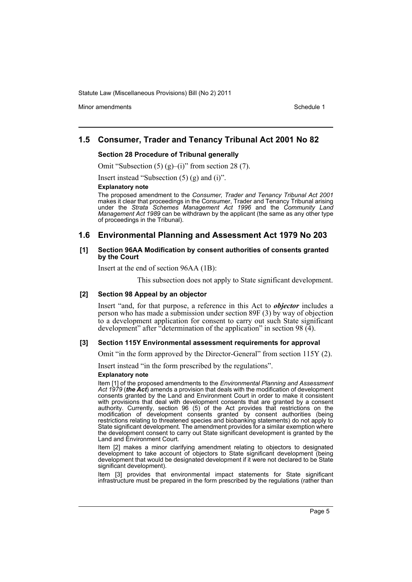Minor amendments **Schedule 1** and the state of the state 1 and the state of the Schedule 1

# **1.5 Consumer, Trader and Tenancy Tribunal Act 2001 No 82**

### **Section 28 Procedure of Tribunal generally**

Omit "Subsection  $(5)$   $(g)$ – $(i)$ " from section 28  $(7)$ .

Insert instead "Subsection (5) (g) and (i)".

### **Explanatory note**

The proposed amendment to the *Consumer, Trader and Tenancy Tribunal Act 2001* makes it clear that proceedings in the Consumer, Trader and Tenancy Tribunal arising under the *Strata Schemes Management Act 1996* and the *Community Land Management Act 1989* can be withdrawn by the applicant (the same as any other type of proceedings in the Tribunal).

# **1.6 Environmental Planning and Assessment Act 1979 No 203**

### **[1] Section 96AA Modification by consent authorities of consents granted by the Court**

Insert at the end of section 96AA (1B):

This subsection does not apply to State significant development.

### **[2] Section 98 Appeal by an objector**

Insert "and, for that purpose, a reference in this Act to *objector* includes a person who has made a submission under section 89F (3) by way of objection to a development application for consent to carry out such State significant development" after "determination of the application" in section 98 (4).

### **[3] Section 115Y Environmental assessment requirements for approval**

Omit "in the form approved by the Director-General" from section 115Y (2).

Insert instead "in the form prescribed by the regulations".

### **Explanatory note**

Item [1] of the proposed amendments to the *Environmental Planning and Assessment Act 1979* (*the Act*) amends a provision that deals with the modification of development consents granted by the Land and Environment Court in order to make it consistent with provisions that deal with development consents that are granted by a consent authority. Currently, section 96 (5) of the Act provides that restrictions on the modification of development consents granted by consent authorities (being restrictions relating to threatened species and biobanking statements) do not apply to State significant development. The amendment provides for a similar exemption where the development consent to carry out State significant development is granted by the Land and Environment Court.

Item [2] makes a minor clarifying amendment relating to objectors to designated development to take account of objectors to State significant development (being development that would be designated development if it were not declared to be State significant development).

Item [3] provides that environmental impact statements for State significant infrastructure must be prepared in the form prescribed by the regulations (rather than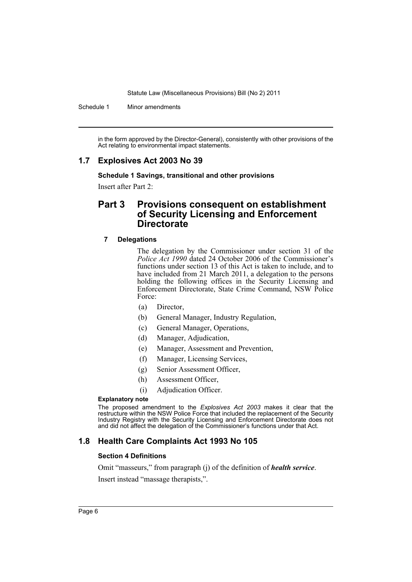Schedule 1 Minor amendments

in the form approved by the Director-General), consistently with other provisions of the Act relating to environmental impact statements.

# **1.7 Explosives Act 2003 No 39**

**Schedule 1 Savings, transitional and other provisions**

Insert after Part 2:

# **Part 3 Provisions consequent on establishment of Security Licensing and Enforcement Directorate**

### **7 Delegations**

The delegation by the Commissioner under section 31 of the *Police Act 1990* dated 24 October 2006 of the Commissioner's functions under section 13 of this Act is taken to include, and to have included from 21 March 2011, a delegation to the persons holding the following offices in the Security Licensing and Enforcement Directorate, State Crime Command, NSW Police Force:

- (a) Director,
- (b) General Manager, Industry Regulation,
- (c) General Manager, Operations,
- (d) Manager, Adjudication,
- (e) Manager, Assessment and Prevention,
- (f) Manager, Licensing Services,
- (g) Senior Assessment Officer,
- (h) Assessment Officer,
- (i) Adjudication Officer.

### **Explanatory note**

The proposed amendment to the *Explosives Act 2003* makes it clear that the restructure within the NSW Police Force that included the replacement of the Security Industry Registry with the Security Licensing and Enforcement Directorate does not and did not affect the delegation of the Commissioner's functions under that Act.

# **1.8 Health Care Complaints Act 1993 No 105**

### **Section 4 Definitions**

Omit "masseurs," from paragraph (j) of the definition of *health service*.

Insert instead "massage therapists,".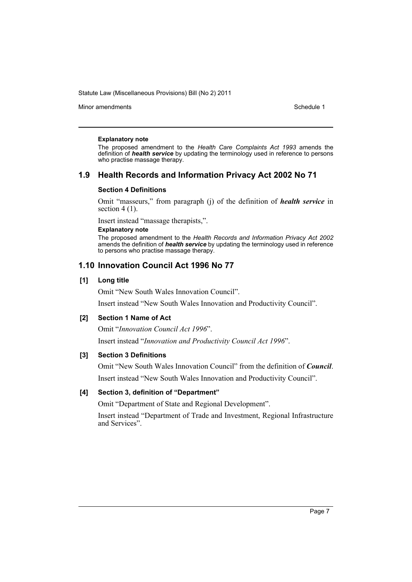Minor amendments **Schedule 1** and the state of the state of the Schedule 1

### **Explanatory note**

The proposed amendment to the *Health Care Complaints Act 1993* amends the definition of *health service* by updating the terminology used in reference to persons who practise massage therapy.

# **1.9 Health Records and Information Privacy Act 2002 No 71**

### **Section 4 Definitions**

Omit "masseurs," from paragraph (j) of the definition of *health service* in section  $4(1)$ .

Insert instead "massage therapists,".

### **Explanatory note**

The proposed amendment to the *Health Records and Information Privacy Act 2002* amends the definition of *health service* by updating the terminology used in reference to persons who practise massage therapy.

# **1.10 Innovation Council Act 1996 No 77**

### **[1] Long title**

Omit "New South Wales Innovation Council".

Insert instead "New South Wales Innovation and Productivity Council".

### **[2] Section 1 Name of Act**

Omit "*Innovation Council Act 1996*".

Insert instead "*Innovation and Productivity Council Act 1996*".

### **[3] Section 3 Definitions**

Omit "New South Wales Innovation Council" from the definition of *Council*. Insert instead "New South Wales Innovation and Productivity Council".

### **[4] Section 3, definition of "Department"**

Omit "Department of State and Regional Development".

Insert instead "Department of Trade and Investment, Regional Infrastructure and Services".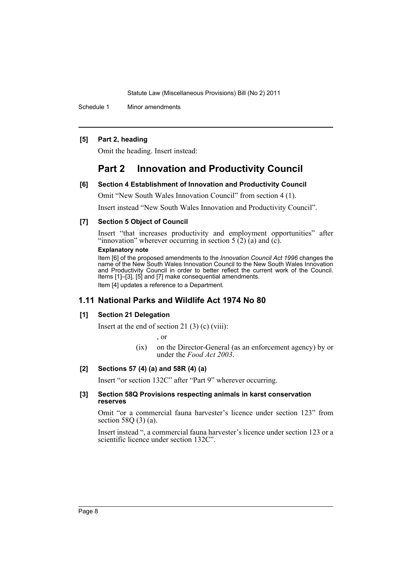Schedule 1 Minor amendments

### **[5] Part 2, heading**

Omit the heading. Insert instead:

# **Part 2 Innovation and Productivity Council**

### **[6] Section 4 Establishment of Innovation and Productivity Council**

Omit "New South Wales Innovation Council" from section 4 (1).

Insert instead "New South Wales Innovation and Productivity Council".

### **[7] Section 5 Object of Council**

Insert "that increases productivity and employment opportunities" after "innovation" wherever occurring in section  $5(2)(a)$  and  $(c)$ .

### **Explanatory note**

Item [6] of the proposed amendments to the *Innovation Council Act 1996* changes the name of the New South Wales Innovation Council to the New South Wales Innovation and Productivity Council in order to better reflect the current work of the Council. Items [1]–[3], [5] and [7] make consequential amendments. Item [4] updates a reference to a Department.

### **1.11 National Parks and Wildlife Act 1974 No 80**

### **[1] Section 21 Delegation**

Insert at the end of section 21 $(3)$  $(c)$  $(viii)$ :

, or

(ix) on the Director-General (as an enforcement agency) by or under the *Food Act 2003*.

# **[2] Sections 57 (4) (a) and 58R (4) (a)**

Insert "or section 132C" after "Part 9" wherever occurring.

### **[3] Section 58Q Provisions respecting animals in karst conservation reserves**

Omit "or a commercial fauna harvester's licence under section 123" from section 58Q (3) (a).

Insert instead ", a commercial fauna harvester's licence under section 123 or a scientific licence under section 132C".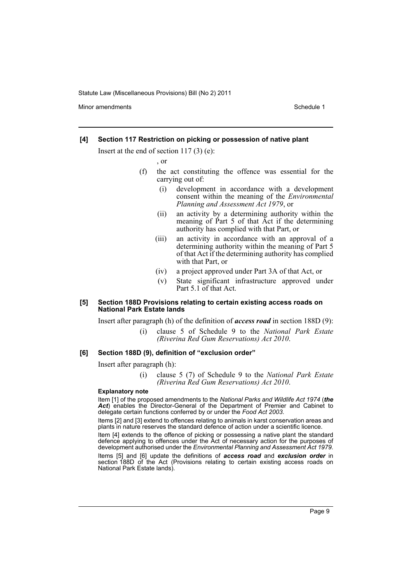Minor amendments **Schedule 1** and the state of the state 1 and the state of the Schedule 1

### **[4] Section 117 Restriction on picking or possession of native plant**

Insert at the end of section 117 (3) (e):

, or

- (f) the act constituting the offence was essential for the carrying out of:
	- (i) development in accordance with a development consent within the meaning of the *Environmental Planning and Assessment Act 1979*, or
	- (ii) an activity by a determining authority within the meaning of Part 5 of that Act if the determining authority has complied with that Part, or
	- (iii) an activity in accordance with an approval of a determining authority within the meaning of Part 5 of that Act if the determining authority has complied with that Part, or
	- (iv) a project approved under Part 3A of that Act, or
	- (v) State significant infrastructure approved under Part 5.1 of that Act.

### **[5] Section 188D Provisions relating to certain existing access roads on National Park Estate lands**

Insert after paragraph (h) of the definition of *access road* in section 188D (9):

(i) clause 5 of Schedule 9 to the *National Park Estate (Riverina Red Gum Reservations) Act 2010*.

### **[6] Section 188D (9), definition of "exclusion order"**

Insert after paragraph (h):

(i) clause 5 (7) of Schedule 9 to the *National Park Estate (Riverina Red Gum Reservations) Act 2010*.

### **Explanatory note**

Item [1] of the proposed amendments to the *National Parks and Wildlife Act 1974* (*the* Act) enables the Director-General of the Department of Premier and Cabinet to delegate certain functions conferred by or under the *Food Act 2003*.

Items [2] and [3] extend to offences relating to animals in karst conservation areas and plants in nature reserves the standard defence of action under a scientific licence.

Item [4] extends to the offence of picking or possessing a native plant the standard defence applying to offences under the Act of necessary action for the purposes of development authorised under the *Environmental Planning and Assessment Act 1979*.

Items [5] and [6] update the definitions of *access road* and *exclusion order* in section 188D of the Act (Provisions relating to certain existing access roads on National Park Estate lands).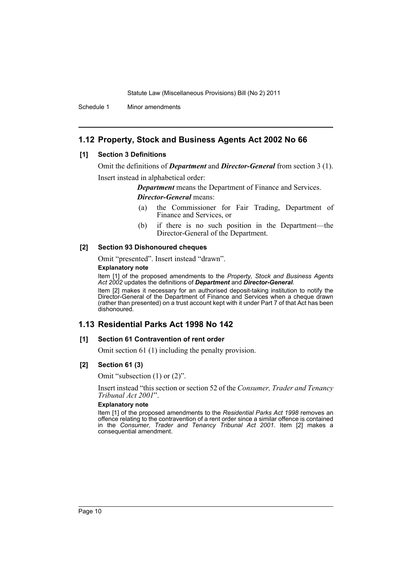Schedule 1 Minor amendments

# **1.12 Property, Stock and Business Agents Act 2002 No 66**

### **[1] Section 3 Definitions**

Omit the definitions of *Department* and *Director-General* from section 3 (1).

Insert instead in alphabetical order:

*Department* means the Department of Finance and Services. *Director-General* means:

- (a) the Commissioner for Fair Trading, Department of Finance and Services, or
- (b) if there is no such position in the Department—the Director-General of the Department.

### **[2] Section 93 Dishonoured cheques**

Omit "presented". Insert instead "drawn".

### **Explanatory note**

Item [1] of the proposed amendments to the *Property, Stock and Business Agents Act 2002* updates the definitions of *Department* and *Director-General*.

Item [2] makes it necessary for an authorised deposit-taking institution to notify the Director-General of the Department of Finance and Services when a cheque drawn (rather than presented) on a trust account kept with it under Part 7 of that Act has been dishonoured.

# **1.13 Residential Parks Act 1998 No 142**

### **[1] Section 61 Contravention of rent order**

Omit section 61 (1) including the penalty provision.

# **[2] Section 61 (3)**

Omit "subsection (1) or (2)".

Insert instead "this section or section 52 of the *Consumer, Trader and Tenancy Tribunal Act 2001*".

### **Explanatory note**

Item [1] of the proposed amendments to the *Residential Parks Act 1998* removes an offence relating to the contravention of a rent order since a similar offence is contained in the *Consumer, Trader and Tenancy Tribunal Act 2001*. Item [2] makes a consequential amendment.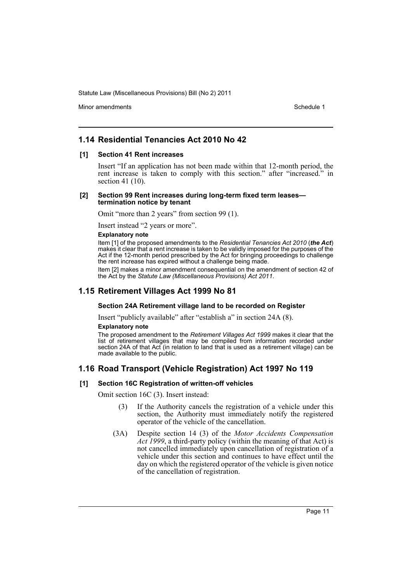Minor amendments **Schedule 1** and the state of the state 1 and the state of the Schedule 1

# **1.14 Residential Tenancies Act 2010 No 42**

### **[1] Section 41 Rent increases**

Insert "If an application has not been made within that 12-month period, the rent increase is taken to comply with this section." after "increased." in section 41 (10).

### **[2] Section 99 Rent increases during long-term fixed term leases termination notice by tenant**

Omit "more than 2 years" from section 99 (1).

Insert instead "2 years or more".

### **Explanatory note**

Item [1] of the proposed amendments to the *Residential Tenancies Act 2010* (*the Act*) makes it clear that a rent increase is taken to be validly imposed for the purposes of the Act if the 12-month period prescribed by the Act for bringing proceedings to challenge the rent increase has expired without a challenge being made.

Item [2] makes a minor amendment consequential on the amendment of section 42 of the Act by the *Statute Law (Miscellaneous Provisions) Act 2011*.

# **1.15 Retirement Villages Act 1999 No 81**

### **Section 24A Retirement village land to be recorded on Register**

Insert "publicly available" after "establish a" in section 24A (8).

### **Explanatory note**

The proposed amendment to the *Retirement Villages Act 1999* makes it clear that the list of retirement villages that may be compiled from information recorded under section 24A of that Act (in relation to land that is used as a retirement village) can be made available to the public.

# **1.16 Road Transport (Vehicle Registration) Act 1997 No 119**

### **[1] Section 16C Registration of written-off vehicles**

Omit section 16C (3). Insert instead:

- (3) If the Authority cancels the registration of a vehicle under this section, the Authority must immediately notify the registered operator of the vehicle of the cancellation.
- (3A) Despite section 14 (3) of the *Motor Accidents Compensation Act 1999*, a third-party policy (within the meaning of that Act) is not cancelled immediately upon cancellation of registration of a vehicle under this section and continues to have effect until the day on which the registered operator of the vehicle is given notice of the cancellation of registration.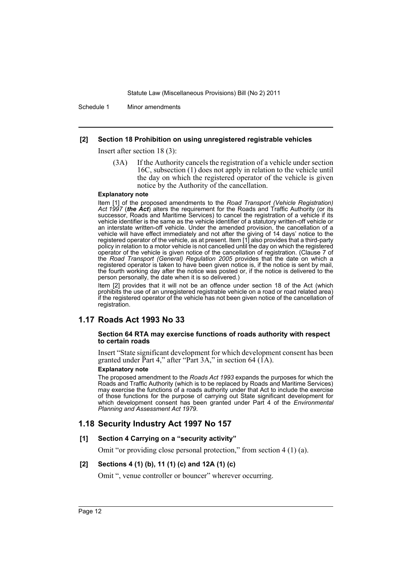Schedule 1 Minor amendments

### **[2] Section 18 Prohibition on using unregistered registrable vehicles**

Insert after section 18 (3):

(3A) If the Authority cancels the registration of a vehicle under section 16C, subsection (1) does not apply in relation to the vehicle until the day on which the registered operator of the vehicle is given notice by the Authority of the cancellation.

### **Explanatory note**

Item [1] of the proposed amendments to the *Road Transport (Vehicle Registration) Act 1997* (*the Act*) alters the requirement for the Roads and Traffic Authority (or its successor, Roads and Maritime Services) to cancel the registration of a vehicle if its vehicle identifier is the same as the vehicle identifier of a statutory written-off vehicle or an interstate written-off vehicle. Under the amended provision, the cancellation of a vehicle will have effect immediately and not after the giving of 14 days' notice to the registered operator of the vehicle, as at present. Item [1] also provides that a third-party policy in relation to a motor vehicle is not cancelled until the day on which the registered operator of the vehicle is given notice of the cancellation of registration. (Clause 7 of the *Road Transport (General) Regulation 2005* provides that the date on which a registered operator is taken to have been given notice is, if the notice is sent by mail, the fourth working day after the notice was posted or, if the notice is delivered to the person personally, the date when it is so delivered.)

Item [2] provides that it will not be an offence under section 18 of the Act (which prohibits the use of an unregistered registrable vehicle on a road or road related area) if the registered operator of the vehicle has not been given notice of the cancellation of registration.

# **1.17 Roads Act 1993 No 33**

### **Section 64 RTA may exercise functions of roads authority with respect to certain roads**

Insert "State significant development for which development consent has been granted under Part 4," after "Part 3A," in section 64 ( $1\overline{A}$ ).

### **Explanatory note**

The proposed amendment to the *Roads Act 1993* expands the purposes for which the Roads and Traffic Authority (which is to be replaced by Roads and Maritime Services) may exercise the functions of a roads authority under that Act to include the exercise of those functions for the purpose of carrying out State significant development for which development consent has been granted under Part 4 of the *Environmental Planning and Assessment Act 1979*.

# **1.18 Security Industry Act 1997 No 157**

### **[1] Section 4 Carrying on a "security activity"**

Omit "or providing close personal protection," from section 4 (1) (a).

### **[2] Sections 4 (1) (b), 11 (1) (c) and 12A (1) (c)**

Omit ", venue controller or bouncer" wherever occurring.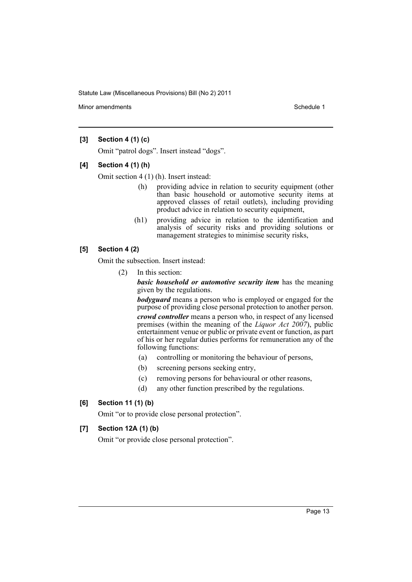Minor amendments **Schedule 1** and the state of the state of the Schedule 1

# **[3] Section 4 (1) (c)**

Omit "patrol dogs". Insert instead "dogs".

### **[4] Section 4 (1) (h)**

Omit section 4 (1) (h). Insert instead:

- (h) providing advice in relation to security equipment (other than basic household or automotive security items at approved classes of retail outlets), including providing product advice in relation to security equipment,
- (h1) providing advice in relation to the identification and analysis of security risks and providing solutions or management strategies to minimise security risks,

# **[5] Section 4 (2)**

Omit the subsection. Insert instead:

(2) In this section:

*basic household or automotive security item* has the meaning given by the regulations.

*bodyguard* means a person who is employed or engaged for the purpose of providing close personal protection to another person.

*crowd controller* means a person who, in respect of any licensed premises (within the meaning of the *Liquor Act 2007*), public entertainment venue or public or private event or function, as part of his or her regular duties performs for remuneration any of the following functions:

- (a) controlling or monitoring the behaviour of persons,
- (b) screening persons seeking entry,
- (c) removing persons for behavioural or other reasons,
- (d) any other function prescribed by the regulations.

# **[6] Section 11 (1) (b)**

Omit "or to provide close personal protection".

# **[7] Section 12A (1) (b)**

Omit "or provide close personal protection".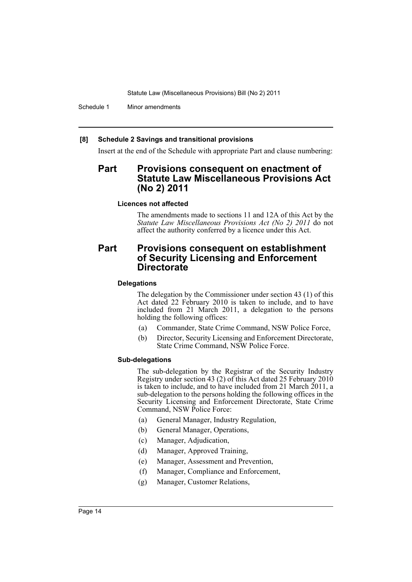Schedule 1 Minor amendments

### **[8] Schedule 2 Savings and transitional provisions**

Insert at the end of the Schedule with appropriate Part and clause numbering:

# **Part Provisions consequent on enactment of Statute Law Miscellaneous Provisions Act (No 2) 2011**

### **Licences not affected**

The amendments made to sections 11 and 12A of this Act by the *Statute Law Miscellaneous Provisions Act (No 2) 2011* do not affect the authority conferred by a licence under this Act.

# **Part Provisions consequent on establishment of Security Licensing and Enforcement Directorate**

# **Delegations**

The delegation by the Commissioner under section 43 (1) of this Act dated 22 February 2010 is taken to include, and to have included from 21 March 2011, a delegation to the persons holding the following offices:

- (a) Commander, State Crime Command, NSW Police Force,
- (b) Director, Security Licensing and Enforcement Directorate, State Crime Command, NSW Police Force.

### **Sub-delegations**

The sub-delegation by the Registrar of the Security Industry Registry under section 43 (2) of this Act dated 25 February 2010 is taken to include, and to have included from 21 March 2011, a sub-delegation to the persons holding the following offices in the Security Licensing and Enforcement Directorate, State Crime Command, NSW Police Force:

- (a) General Manager, Industry Regulation,
- (b) General Manager, Operations,
- (c) Manager, Adjudication,
- (d) Manager, Approved Training,
- (e) Manager, Assessment and Prevention,
- (f) Manager, Compliance and Enforcement,
- (g) Manager, Customer Relations,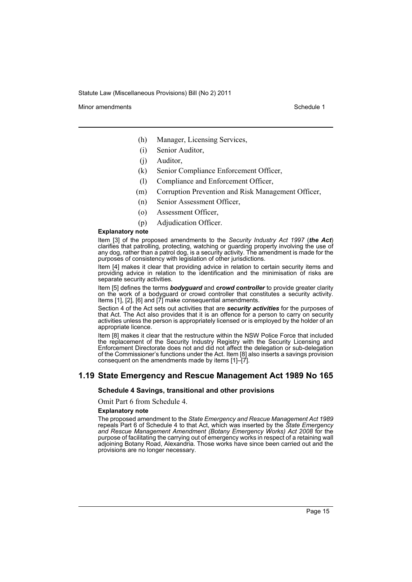Minor amendments **Schedule 1** and the state of the state 1 and the state of the Schedule 1

- (h) Manager, Licensing Services,
- (i) Senior Auditor,
- (j) Auditor,
- (k) Senior Compliance Enforcement Officer,
- (l) Compliance and Enforcement Officer,
- (m) Corruption Prevention and Risk Management Officer,
- (n) Senior Assessment Officer,
- (o) Assessment Officer,
- (p) Adjudication Officer.

### **Explanatory note**

Item [3] of the proposed amendments to the *Security Industry Act 1997* (*the Act*) clarifies that patrolling, protecting, watching or guarding property involving the use of any dog, rather than a patrol dog, is a security activity. The amendment is made for the purposes of consistency with legislation of other jurisdictions.

Item [4] makes it clear that providing advice in relation to certain security items and providing advice in relation to the identification and the minimisation of risks are separate security activities.

Item [5] defines the terms *bodyguard* and *crowd controller* to provide greater clarity on the work of a bodyguard or crowd controller that constitutes a security activity. Items [1], [2], [6] and [7] make consequential amendments.

Section 4 of the Act sets out activities that are *security activities* for the purposes of that Act. The Act also provides that it is an offence for a person to carry on security activities unless the person is appropriately licensed or is employed by the holder of an appropriate licence.

Item [8] makes it clear that the restructure within the NSW Police Force that included the replacement of the Security Industry Registry with the Security Licensing and Enforcement Directorate does not and did not affect the delegation or sub-delegation of the Commissioner's functions under the Act. Item [8] also inserts a savings provision consequent on the amendments made by items [1]–[7].

# **1.19 State Emergency and Rescue Management Act 1989 No 165**

### **Schedule 4 Savings, transitional and other provisions**

Omit Part 6 from Schedule 4.

#### **Explanatory note**

The proposed amendment to the *State Emergency and Rescue Management Act 1989* repeals Part 6 of Schedule 4 to that Act, which was inserted by the *State Emergency and Rescue Management Amendment (Botany Emergency Works) Act 2008* for the purpose of facilitating the carrying out of emergency works in respect of a retaining wall adjoining Botany Road, Alexandria. Those works have since been carried out and the provisions are no longer necessary.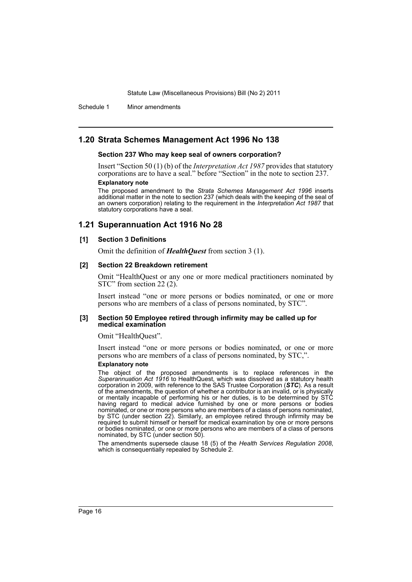Schedule 1 Minor amendments

# **1.20 Strata Schemes Management Act 1996 No 138**

### **Section 237 Who may keep seal of owners corporation?**

Insert "Section 50 (1) (b) of the *Interpretation Act 1987* provides that statutory corporations are to have a seal." before "Section" in the note to section 237.

# **Explanatory note**

The proposed amendment to the *Strata Schemes Management Act 1996* inserts additional matter in the note to section 237 (which deals with the keeping of the seal of an owners corporation) relating to the requirement in the *Interpretation Act 1987* that statutory corporations have a seal.

# **1.21 Superannuation Act 1916 No 28**

### **[1] Section 3 Definitions**

Omit the definition of *HealthQuest* from section 3 (1).

### **[2] Section 22 Breakdown retirement**

Omit "HealthQuest or any one or more medical practitioners nominated by STC" from section 22 (2).

Insert instead "one or more persons or bodies nominated, or one or more persons who are members of a class of persons nominated, by STC".

### **[3] Section 50 Employee retired through infirmity may be called up for medical examination**

### Omit "HealthQuest".

Insert instead "one or more persons or bodies nominated, or one or more persons who are members of a class of persons nominated, by STC,".

### **Explanatory note**

The object of the proposed amendments is to replace references in the *Superannuation Act 1916* to HealthQuest, which was dissolved as a statutory health corporation in 2009, with reference to the SAS Trustee Corporation (*STC*). As a result of the amendments, the question of whether a contributor is an invalid, or is physically or mentally incapable of performing his or her duties, is to be determined by STC having regard to medical advice furnished by one or more persons or bodies nominated, or one or more persons who are members of a class of persons nominated, by STC (under section 22). Similarly, an employee retired through infirmity may be required to submit himself or herself for medical examination by one or more persons or bodies nominated, or one or more persons who are members of a class of persons nominated, by STC (under section 50).

The amendments supersede clause 18 (5) of the *Health Services Regulation 2008*, which is consequentially repealed by Schedule 2.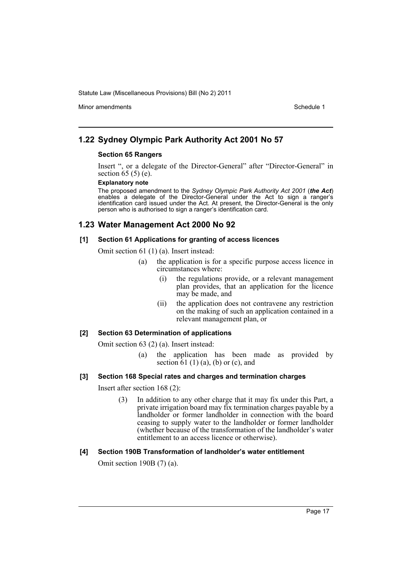Minor amendments **Schedule 1** and the state of the state 1 and the state of the Schedule 1

# **1.22 Sydney Olympic Park Authority Act 2001 No 57**

### **Section 65 Rangers**

Insert ", or a delegate of the Director-General" after "Director-General" in section 65 (5) (e).

### **Explanatory note**

The proposed amendment to the *Sydney Olympic Park Authority Act 2001* (*the Act*) enables a delegate of the Director-General under the Act to sign a ranger's identification card issued under the Act. At present, the Director-General is the only person who is authorised to sign a ranger's identification card.

# **1.23 Water Management Act 2000 No 92**

### **[1] Section 61 Applications for granting of access licences**

Omit section 61 (1) (a). Insert instead:

- (a) the application is for a specific purpose access licence in circumstances where:
	- (i) the regulations provide, or a relevant management plan provides, that an application for the licence may be made, and
	- (ii) the application does not contravene any restriction on the making of such an application contained in a relevant management plan, or

### **[2] Section 63 Determination of applications**

Omit section 63 (2) (a). Insert instead:

- (a) the application has been made as provided by section  $61$  (1) (a), (b) or (c), and
- **[3] Section 168 Special rates and charges and termination charges**

Insert after section 168 (2):

(3) In addition to any other charge that it may fix under this Part, a private irrigation board may fix termination charges payable by a landholder or former landholder in connection with the board ceasing to supply water to the landholder or former landholder (whether because of the transformation of the landholder's water entitlement to an access licence or otherwise).

### **[4] Section 190B Transformation of landholder's water entitlement**

Omit section 190B (7) (a).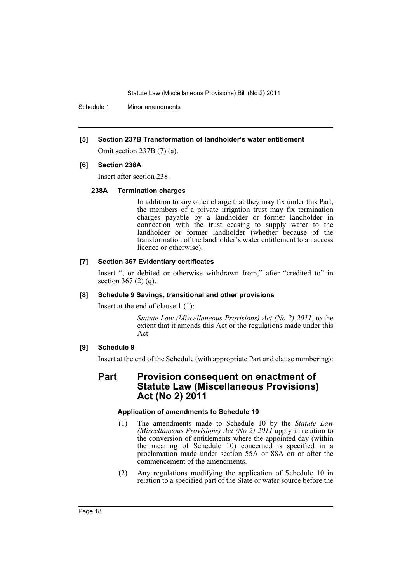Schedule 1 Minor amendments

### **[5] Section 237B Transformation of landholder's water entitlement**

Omit section 237B (7) (a).

### **[6] Section 238A**

Insert after section 238:

### **238A Termination charges**

In addition to any other charge that they may fix under this Part, the members of a private irrigation trust may fix termination charges payable by a landholder or former landholder in connection with the trust ceasing to supply water to the landholder or former landholder (whether because of the transformation of the landholder's water entitlement to an access licence or otherwise).

### **[7] Section 367 Evidentiary certificates**

Insert ", or debited or otherwise withdrawn from," after "credited to" in section 367 (2) (q).

### **[8] Schedule 9 Savings, transitional and other provisions**

Insert at the end of clause 1 (1):

*Statute Law (Miscellaneous Provisions) Act (No 2) 2011*, to the extent that it amends this Act or the regulations made under this Act

### **[9] Schedule 9**

Insert at the end of the Schedule (with appropriate Part and clause numbering):

# **Part Provision consequent on enactment of Statute Law (Miscellaneous Provisions) Act (No 2) 2011**

### **Application of amendments to Schedule 10**

- (1) The amendments made to Schedule 10 by the *Statute Law (Miscellaneous Provisions) Act (No 2) 2011* apply in relation to the conversion of entitlements where the appointed day (within the meaning of Schedule 10) concerned is specified in a proclamation made under section 55A or 88A on or after the commencement of the amendments.
- (2) Any regulations modifying the application of Schedule 10 in relation to a specified part of the State or water source before the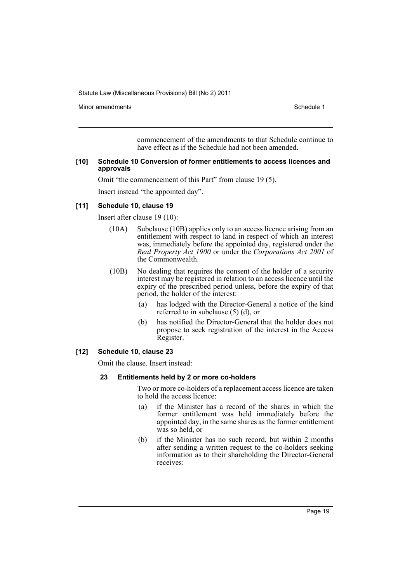Minor amendments **Schedule 1** and the state of the state 1 and the state of the Schedule 1

commencement of the amendments to that Schedule continue to have effect as if the Schedule had not been amended.

### **[10] Schedule 10 Conversion of former entitlements to access licences and approvals**

Omit "the commencement of this Part" from clause 19 (5).

Insert instead "the appointed day".

### **[11] Schedule 10, clause 19**

Insert after clause 19 (10):

- (10A) Subclause (10B) applies only to an access licence arising from an entitlement with respect to land in respect of which an interest was, immediately before the appointed day, registered under the *Real Property Act 1900* or under the *Corporations Act 2001* of the Commonwealth.
- (10B) No dealing that requires the consent of the holder of a security interest may be registered in relation to an access licence until the expiry of the prescribed period unless, before the expiry of that period, the holder of the interest:
	- (a) has lodged with the Director-General a notice of the kind referred to in subclause (5) (d), or
	- (b) has notified the Director-General that the holder does not propose to seek registration of the interest in the Access Register.

### **[12] Schedule 10, clause 23**

Omit the clause. Insert instead:

### **23 Entitlements held by 2 or more co-holders**

Two or more co-holders of a replacement access licence are taken to hold the access licence:

- (a) if the Minister has a record of the shares in which the former entitlement was held immediately before the appointed day, in the same shares as the former entitlement was so held or
- (b) if the Minister has no such record, but within 2 months after sending a written request to the co-holders seeking information as to their shareholding the Director-General receives: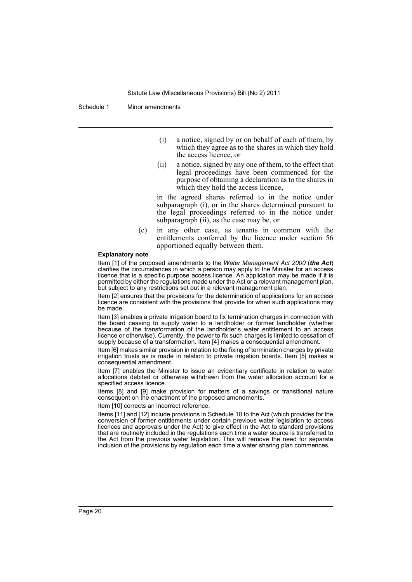Schedule 1 Minor amendments

- (i) a notice, signed by or on behalf of each of them, by which they agree as to the shares in which they hold the access licence, or
- (ii) a notice, signed by any one of them, to the effect that legal proceedings have been commenced for the purpose of obtaining a declaration as to the shares in which they hold the access licence,

in the agreed shares referred to in the notice under subparagraph (i), or in the shares determined pursuant to the legal proceedings referred to in the notice under subparagraph (ii), as the case may be, or

(c) in any other case, as tenants in common with the entitlements conferred by the licence under section 56 apportioned equally between them.

### **Explanatory note**

Item [1] of the proposed amendments to the *Water Management Act 2000* (*the Act*) clarifies the circumstances in which a person may apply to the Minister for an access licence that is a specific purpose access licence. An application may be made if it is permitted by either the regulations made under the Act or a relevant management plan, but subject to any restrictions set out in a relevant management plan.

Item [2] ensures that the provisions for the determination of applications for an access licence are consistent with the provisions that provide for when such applications may be made.

Item [3] enables a private irrigation board to fix termination charges in connection with the board ceasing to supply water to a landholder or former landholder (whether because of the transformation of the landholder's water entitlement to an access licence or otherwise). Currently, the power to fix such charges is limited to cessation of supply because of a transformation. Item [4] makes a consequential amendment.

Item [6] makes similar provision in relation to the fixing of termination charges by private irrigation trusts as is made in relation to private irrigation boards. Item [5] makes a consequential amendment.

Item [7] enables the Minister to issue an evidentiary certificate in relation to water allocations debited or otherwise withdrawn from the water allocation account for a specified access licence.

Items [8] and [9] make provision for matters of a savings or transitional nature consequent on the enactment of the proposed amendments.

Item [10] corrects an incorrect reference.

Items [11] and [12] include provisions in Schedule 10 to the Act (which provides for the conversion of former entitlements under certain previous water legislation to access licences and approvals under the Act) to give effect in the Act to standard provisions that are routinely included in the regulations each time a water source is transferred to the Act from the previous water legislation. This will remove the need for separate inclusion of the provisions by regulation each time a water sharing plan commences.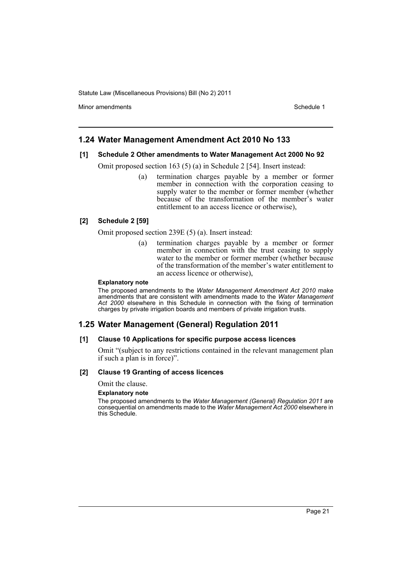Minor amendments **Schedule 1** and the state of the state 1 and the state of the Schedule 1

# **1.24 Water Management Amendment Act 2010 No 133**

### **[1] Schedule 2 Other amendments to Water Management Act 2000 No 92**

Omit proposed section 163 (5) (a) in Schedule 2 [54]. Insert instead:

(a) termination charges payable by a member or former member in connection with the corporation ceasing to supply water to the member or former member (whether because of the transformation of the member's water entitlement to an access licence or otherwise),

### **[2] Schedule 2 [59]**

Omit proposed section 239E (5) (a). Insert instead:

(a) termination charges payable by a member or former member in connection with the trust ceasing to supply water to the member or former member (whether because of the transformation of the member's water entitlement to an access licence or otherwise),

### **Explanatory note**

The proposed amendments to the *Water Management Amendment Act 2010* make amendments that are consistent with amendments made to the *Water Management Act 2000* elsewhere in this Schedule in connection with the fixing of termination charges by private irrigation boards and members of private irrigation trusts.

# **1.25 Water Management (General) Regulation 2011**

### **[1] Clause 10 Applications for specific purpose access licences**

Omit "(subject to any restrictions contained in the relevant management plan if such a plan is in force)".

### **[2] Clause 19 Granting of access licences**

Omit the clause.

### **Explanatory note**

The proposed amendments to the *Water Management (General) Regulation 2011* are consequential on amendments made to the *Water Management Act 2000* elsewhere in this Schedule.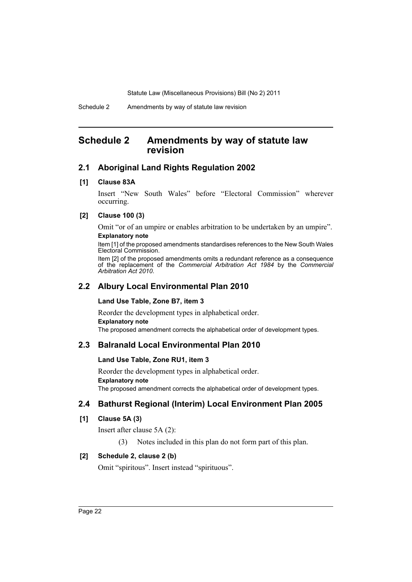# <span id="page-23-0"></span>**Schedule 2 Amendments by way of statute law revision**

# **2.1 Aboriginal Land Rights Regulation 2002**

### **[1] Clause 83A**

Insert "New South Wales" before "Electoral Commission" wherever occurring.

# **[2] Clause 100 (3)**

Omit "or of an umpire or enables arbitration to be undertaken by an umpire". **Explanatory note**

Item [1] of the proposed amendments standardises references to the New South Wales Electoral Commission.

Item [2] of the proposed amendments omits a redundant reference as a consequence of the replacement of the *Commercial Arbitration Act 1984* by the *Commercial Arbitration Act 2010*.

# **2.2 Albury Local Environmental Plan 2010**

### **Land Use Table, Zone B7, item 3**

Reorder the development types in alphabetical order. **Explanatory note** The proposed amendment corrects the alphabetical order of development types.

# **2.3 Balranald Local Environmental Plan 2010**

### **Land Use Table, Zone RU1, item 3**

Reorder the development types in alphabetical order. **Explanatory note** The proposed amendment corrects the alphabetical order of development types.

# **2.4 Bathurst Regional (Interim) Local Environment Plan 2005**

# **[1] Clause 5A (3)**

Insert after clause 5A (2):

(3) Notes included in this plan do not form part of this plan.

# **[2] Schedule 2, clause 2 (b)**

Omit "spiritous". Insert instead "spirituous".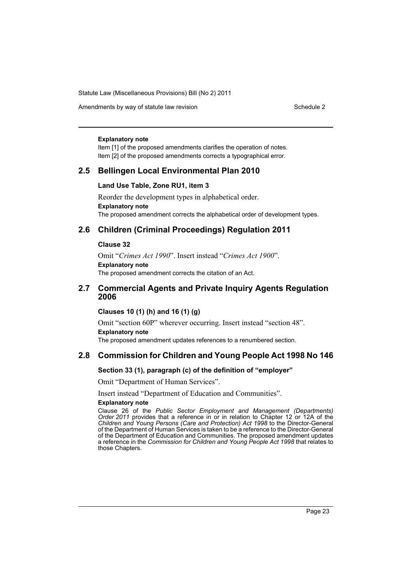Amendments by way of statute law revision Schedule 2 Schedule 2

#### **Explanatory note**

Item [1] of the proposed amendments clarifies the operation of notes. Item [2] of the proposed amendments corrects a typographical error.

# **2.5 Bellingen Local Environmental Plan 2010**

### **Land Use Table, Zone RU1, item 3**

Reorder the development types in alphabetical order. **Explanatory note** The proposed amendment corrects the alphabetical order of development types.

# **2.6 Children (Criminal Proceedings) Regulation 2011**

### **Clause 32**

Omit "*Crimes Act 1990*". Insert instead "*Crimes Act 1900*". **Explanatory note** The proposed amendment corrects the citation of an Act.

# **2.7 Commercial Agents and Private Inquiry Agents Regulation 2006**

### **Clauses 10 (1) (h) and 16 (1) (g)**

Omit "section 60P" wherever occurring. Insert instead "section 48". **Explanatory note**

The proposed amendment updates references to a renumbered section.

# **2.8 Commission for Children and Young People Act 1998 No 146**

# **Section 33 (1), paragraph (c) of the definition of "employer"**

Omit "Department of Human Services".

Insert instead "Department of Education and Communities".

### **Explanatory note**

Clause 26 of the *Public Sector Employment and Management (Departments) Order 2011* provides that a reference in or in relation to Chapter 12 or 12A of the *Children and Young Persons (Care and Protection) Act 1998* to the Director-General of the Department of Human Services is taken to be a reference to the Director-General of the Department of Education and Communities. The proposed amendment updates a reference in the *Commission for Children and Young People Act 1998* that relates to those Chapters.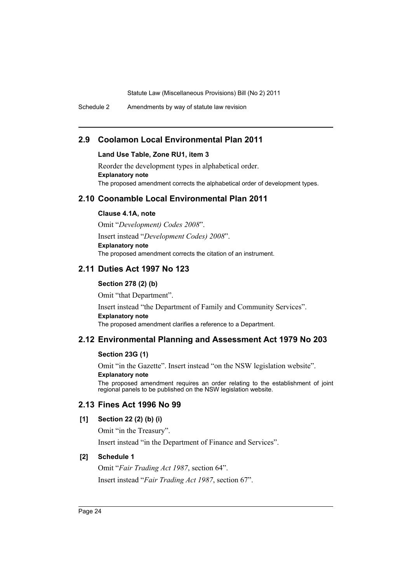Schedule 2 Amendments by way of statute law revision

# **2.9 Coolamon Local Environmental Plan 2011**

# **Land Use Table, Zone RU1, item 3**

Reorder the development types in alphabetical order. **Explanatory note** The proposed amendment corrects the alphabetical order of development types.

# **2.10 Coonamble Local Environmental Plan 2011**

### **Clause 4.1A, note**

Omit "*Development) Codes 2008*". Insert instead "*Development Codes) 2008*". **Explanatory note** The proposed amendment corrects the citation of an instrument.

# **2.11 Duties Act 1997 No 123**

# **Section 278 (2) (b)**

Omit "that Department". Insert instead "the Department of Family and Community Services". **Explanatory note** The proposed amendment clarifies a reference to a Department.

# **2.12 Environmental Planning and Assessment Act 1979 No 203**

### **Section 23G (1)**

Omit "in the Gazette". Insert instead "on the NSW legislation website". **Explanatory note**

The proposed amendment requires an order relating to the establishment of joint regional panels to be published on the NSW legislation website.

# **2.13 Fines Act 1996 No 99**

# **[1] Section 22 (2) (b) (i)**

Omit "in the Treasury".

Insert instead "in the Department of Finance and Services".

### **[2] Schedule 1**

Omit "*Fair Trading Act 1987*, section 64". Insert instead "*Fair Trading Act 1987*, section 67".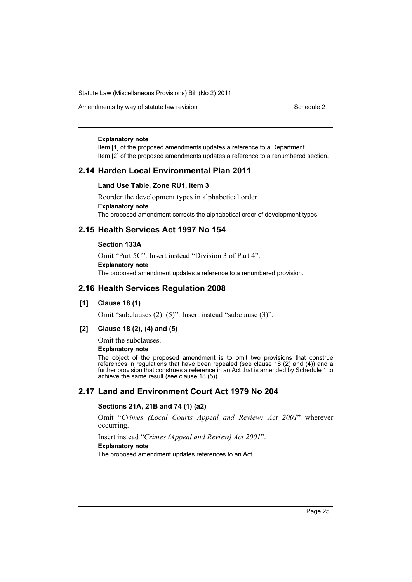Amendments by way of statute law revision Schedule 2 Schedule 2

### **Explanatory note**

Item [1] of the proposed amendments updates a reference to a Department. Item [2] of the proposed amendments updates a reference to a renumbered section.

# **2.14 Harden Local Environmental Plan 2011**

### **Land Use Table, Zone RU1, item 3**

Reorder the development types in alphabetical order. **Explanatory note** The proposed amendment corrects the alphabetical order of development types.

# **2.15 Health Services Act 1997 No 154**

### **Section 133A**

Omit "Part 5C". Insert instead "Division 3 of Part 4". **Explanatory note** The proposed amendment updates a reference to a renumbered provision.

# **2.16 Health Services Regulation 2008**

### **[1] Clause 18 (1)**

Omit "subclauses (2)–(5)". Insert instead "subclause (3)".

### **[2] Clause 18 (2), (4) and (5)**

Omit the subclauses.

### **Explanatory note**

The object of the proposed amendment is to omit two provisions that construe references in regulations that have been repealed (see clause 18 (2) and (4)) and a further provision that construes a reference in an Act that is amended by Schedule 1 to achieve the same result (see clause 18 (5)).

# **2.17 Land and Environment Court Act 1979 No 204**

### **Sections 21A, 21B and 74 (1) (a2)**

Omit "*Crimes (Local Courts Appeal and Review) Act 2001*" wherever occurring.

Insert instead "*Crimes (Appeal and Review) Act 2001*". **Explanatory note**

The proposed amendment updates references to an Act.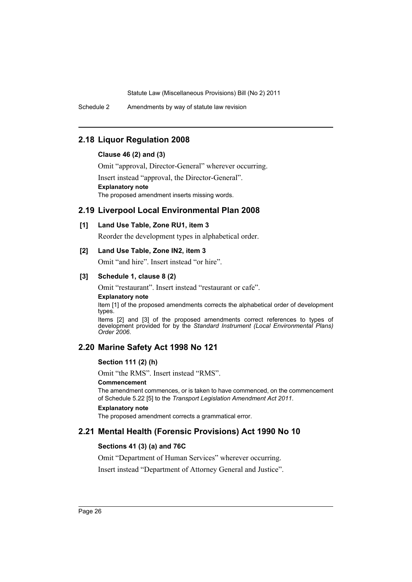Schedule 2 Amendments by way of statute law revision

# **2.18 Liquor Regulation 2008**

# **Clause 46 (2) and (3)**

Omit "approval, Director-General" wherever occurring.

Insert instead "approval, the Director-General". **Explanatory note** The proposed amendment inserts missing words.

# **2.19 Liverpool Local Environmental Plan 2008**

# **[1] Land Use Table, Zone RU1, item 3**

Reorder the development types in alphabetical order.

### **[2] Land Use Table, Zone IN2, item 3**

Omit "and hire". Insert instead "or hire".

### **[3] Schedule 1, clause 8 (2)**

Omit "restaurant". Insert instead "restaurant or cafe".

### **Explanatory note**

Item [1] of the proposed amendments corrects the alphabetical order of development types.

Items [2] and [3] of the proposed amendments correct references to types of development provided for by the *Standard Instrument (Local Environmental Plans) Order 2006*.

# **2.20 Marine Safety Act 1998 No 121**

### **Section 111 (2) (h)**

Omit "the RMS". Insert instead "RMS".

### **Commencement**

The amendment commences, or is taken to have commenced, on the commencement of Schedule 5.22 [5] to the *Transport Legislation Amendment Act 2011*.

### **Explanatory note**

The proposed amendment corrects a grammatical error.

# **2.21 Mental Health (Forensic Provisions) Act 1990 No 10**

### **Sections 41 (3) (a) and 76C**

Omit "Department of Human Services" wherever occurring.

Insert instead "Department of Attorney General and Justice".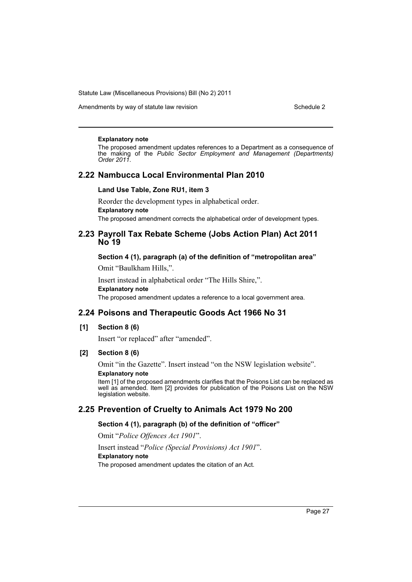Amendments by way of statute law revision Schedule 2 Schedule 2

### **Explanatory note**

The proposed amendment updates references to a Department as a consequence of the making of the *Public Sector Employment and Management (Departments) Order 2011*.

# **2.22 Nambucca Local Environmental Plan 2010**

### **Land Use Table, Zone RU1, item 3**

Reorder the development types in alphabetical order. **Explanatory note** The proposed amendment corrects the alphabetical order of development types.

# **2.23 Payroll Tax Rebate Scheme (Jobs Action Plan) Act 2011 No 19**

### **Section 4 (1), paragraph (a) of the definition of "metropolitan area"**

Omit "Baulkham Hills,".

Insert instead in alphabetical order "The Hills Shire,". **Explanatory note** The proposed amendment updates a reference to a local government area.

# **2.24 Poisons and Therapeutic Goods Act 1966 No 31**

### **[1] Section 8 (6)**

Insert "or replaced" after "amended".

### **[2] Section 8 (6)**

Omit "in the Gazette". Insert instead "on the NSW legislation website".

### **Explanatory note**

Item [1] of the proposed amendments clarifies that the Poisons List can be replaced as well as amended. Item [2] provides for publication of the Poisons List on the NSW legislation website.

# **2.25 Prevention of Cruelty to Animals Act 1979 No 200**

### **Section 4 (1), paragraph (b) of the definition of "officer"**

Omit "*Police Offences Act 1901*".

### Insert instead "*Police (Special Provisions) Act 1901*". **Explanatory note** The proposed amendment updates the citation of an Act.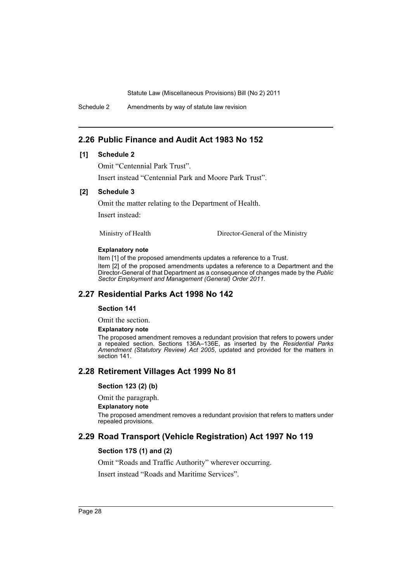Schedule 2 Amendments by way of statute law revision

# **2.26 Public Finance and Audit Act 1983 No 152**

### **[1] Schedule 2**

Omit "Centennial Park Trust".

Insert instead "Centennial Park and Moore Park Trust".

### **[2] Schedule 3**

Omit the matter relating to the Department of Health.

Insert instead:

Ministry of Health Director-General of the Ministry

### **Explanatory note**

Item [1] of the proposed amendments updates a reference to a Trust.

Item [2] of the proposed amendments updates a reference to a Department and the Director-General of that Department as a consequence of changes made by the *Public Sector Employment and Management (General) Order 2011*.

# **2.27 Residential Parks Act 1998 No 142**

### **Section 141**

Omit the section.

### **Explanatory note**

The proposed amendment removes a redundant provision that refers to powers under a repealed section. Sections 136A–136E, as inserted by the *Residential Parks Amendment (Statutory Review) Act 2005*, updated and provided for the matters in section 141.

# **2.28 Retirement Villages Act 1999 No 81**

### **Section 123 (2) (b)**

Omit the paragraph.

### **Explanatory note**

The proposed amendment removes a redundant provision that refers to matters under repealed provisions.

# **2.29 Road Transport (Vehicle Registration) Act 1997 No 119**

# **Section 17S (1) and (2)**

Omit "Roads and Traffic Authority" wherever occurring.

Insert instead "Roads and Maritime Services".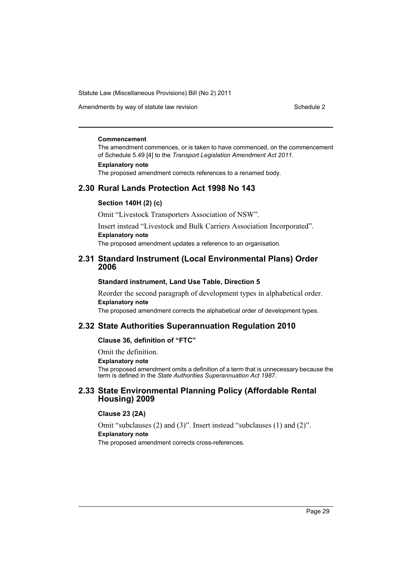Amendments by way of statute law revision Schedule 2 Schedule 2

#### **Commencement**

The amendment commences, or is taken to have commenced, on the commencement of Schedule 5.49 [4] to the *Transport Legislation Amendment Act 2011*.

### **Explanatory note**

The proposed amendment corrects references to a renamed body.

# **2.30 Rural Lands Protection Act 1998 No 143**

### **Section 140H (2) (c)**

Omit "Livestock Transporters Association of NSW".

Insert instead "Livestock and Bulk Carriers Association Incorporated". **Explanatory note**

The proposed amendment updates a reference to an organisation.

# **2.31 Standard Instrument (Local Environmental Plans) Order 2006**

### **Standard instrument, Land Use Table, Direction 5**

Reorder the second paragraph of development types in alphabetical order. **Explanatory note**

The proposed amendment corrects the alphabetical order of development types.

# **2.32 State Authorities Superannuation Regulation 2010**

### **Clause 36, definition of "FTC"**

Omit the definition.

**Explanatory note**

The proposed amendment omits a definition of a term that is unnecessary because the term is defined in the *State Authorities Superannuation Act 1987*.

# **2.33 State Environmental Planning Policy (Affordable Rental Housing) 2009**

# **Clause 23 (2A)**

Omit "subclauses (2) and (3)". Insert instead "subclauses (1) and (2)". **Explanatory note** The proposed amendment corrects cross-references.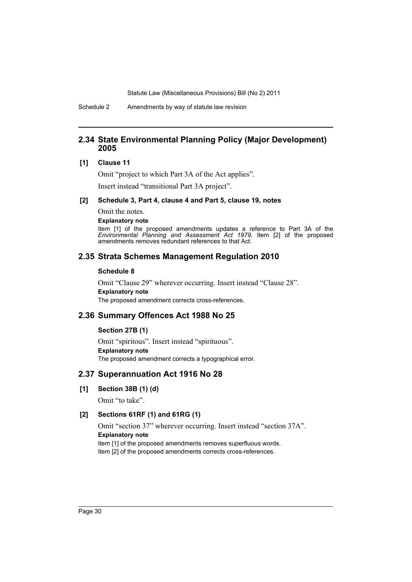Schedule 2 Amendments by way of statute law revision

# **2.34 State Environmental Planning Policy (Major Development) 2005**

# **[1] Clause 11**

Omit "project to which Part 3A of the Act applies".

Insert instead "transitional Part 3A project".

### **[2] Schedule 3, Part 4, clause 4 and Part 5, clause 19, notes**

Omit the notes.

### **Explanatory note**

Item [1] of the proposed amendments updates a reference to Part 3A of the *Environmental Planning and Assessment Act 1979*. Item [2] of the proposed amendments removes redundant references to that Act.

# **2.35 Strata Schemes Management Regulation 2010**

### **Schedule 8**

Omit "Clause 29" wherever occurring. Insert instead "Clause 28". **Explanatory note** The proposed amendment corrects cross-references.

# **2.36 Summary Offences Act 1988 No 25**

### **Section 27B (1)**

Omit "spiritous". Insert instead "spirituous". **Explanatory note** The proposed amendment corrects a typographical error.

# **2.37 Superannuation Act 1916 No 28**

**[1] Section 38B (1) (d)**

Omit "to take".

### **[2] Sections 61RF (1) and 61RG (1)**

Omit "section 37" wherever occurring. Insert instead "section 37A". **Explanatory note** Item [1] of the proposed amendments removes superfluous words. Item [2] of the proposed amendments corrects cross-references.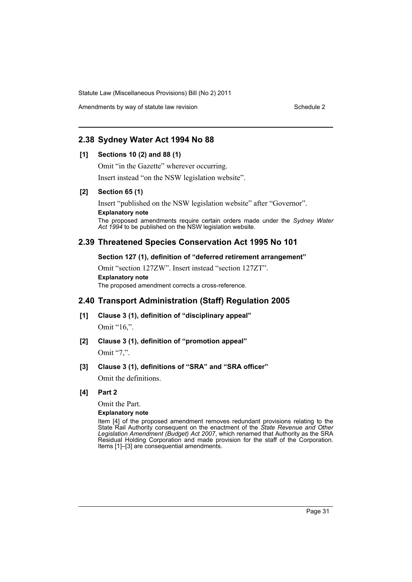Amendments by way of statute law revision Schedule 2

# **2.38 Sydney Water Act 1994 No 88**

### **[1] Sections 10 (2) and 88 (1)**

Omit "in the Gazette" wherever occurring.

Insert instead "on the NSW legislation website".

### **[2] Section 65 (1)**

Insert "published on the NSW legislation website" after "Governor". **Explanatory note** The proposed amendments require certain orders made under the *Sydney Water Act 1994* to be published on the NSW legislation website.

# **2.39 Threatened Species Conservation Act 1995 No 101**

### **Section 127 (1), definition of "deferred retirement arrangement"**

Omit "section 127ZW". Insert instead "section 127ZT". **Explanatory note** The proposed amendment corrects a cross-reference.

# **2.40 Transport Administration (Staff) Regulation 2005**

- **[1] Clause 3 (1), definition of "disciplinary appeal"** Omit "16,".
- **[2] Clause 3 (1), definition of "promotion appeal"**

Omit "7,".

# **[3] Clause 3 (1), definitions of "SRA" and "SRA officer"**

Omit the definitions.

# **[4] Part 2**

Omit the Part.

### **Explanatory note**

Item [4] of the proposed amendment removes redundant provisions relating to the State Rail Authority consequent on the enactment of the *State Revenue and Other Legislation Amendment (Budget) Act 2007*, which renamed that Authority as the SRA Residual Holding Corporation and made provision for the staff of the Corporation. Items [1]–[3] are consequential amendments.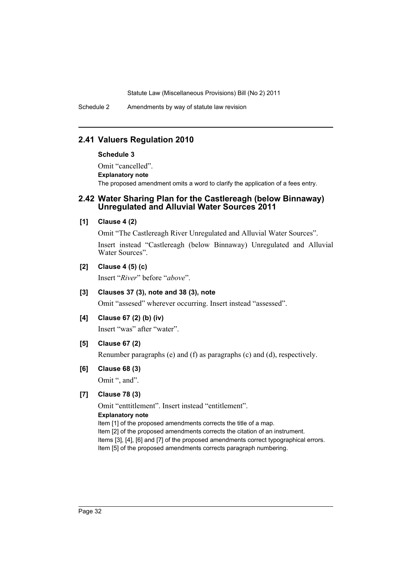Schedule 2 Amendments by way of statute law revision

# **2.41 Valuers Regulation 2010**

### **Schedule 3**

Omit "cancelled". **Explanatory note** The proposed amendment omits a word to clarify the application of a fees entry.

# **2.42 Water Sharing Plan for the Castlereagh (below Binnaway) Unregulated and Alluvial Water Sources 2011**

### **[1] Clause 4 (2)**

Omit "The Castlereagh River Unregulated and Alluvial Water Sources". Insert instead "Castlereagh (below Binnaway) Unregulated and Alluvial Water Sources".

# **[2] Clause 4 (5) (c)**

Insert "*River*" before "*above*".

# **[3] Clauses 37 (3), note and 38 (3), note**

Omit "assesed" wherever occurring. Insert instead "assessed".

# **[4] Clause 67 (2) (b) (iv)**

Insert "was" after "water".

# **[5] Clause 67 (2)**

Renumber paragraphs (e) and (f) as paragraphs (c) and (d), respectively.

# **[6] Clause 68 (3)**

Omit ", and".

# **[7] Clause 78 (3)**

Omit "enttitlement". Insert instead "entitlement". **Explanatory note** Item [1] of the proposed amendments corrects the title of a map. Item [2] of the proposed amendments corrects the citation of an instrument. Items [3], [4], [6] and [7] of the proposed amendments correct typographical errors. Item [5] of the proposed amendments corrects paragraph numbering.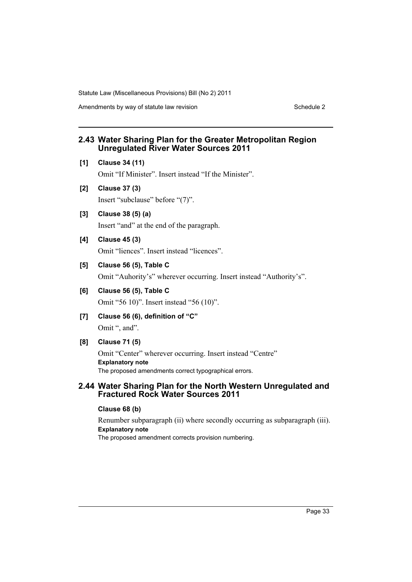Amendments by way of statute law revision Schedule 2 Schedule 2

# **2.43 Water Sharing Plan for the Greater Metropolitan Region Unregulated River Water Sources 2011**

**[1] Clause 34 (11)**

Omit "If Minister". Insert instead "If the Minister".

- **[2] Clause 37 (3)** Insert "subclause" before "(7)".
- **[3] Clause 38 (5) (a)** Insert "and" at the end of the paragraph.
- **[4] Clause 45 (3)** Omit "liences". Insert instead "licences".
- **[5] Clause 56 (5), Table C**

Omit "Auhority's" wherever occurring. Insert instead "Authority's".

- **[6] Clause 56 (5), Table C** Omit "56 10)". Insert instead "56 (10)".
- **[7] Clause 56 (6), definition of "C"** Omit ", and".
- **[8] Clause 71 (5)**

Omit "Center" wherever occurring. Insert instead "Centre" **Explanatory note** The proposed amendments correct typographical errors.

# **2.44 Water Sharing Plan for the North Western Unregulated and Fractured Rock Water Sources 2011**

# **Clause 68 (b)**

Renumber subparagraph (ii) where secondly occurring as subparagraph (iii). **Explanatory note** The proposed amendment corrects provision numbering.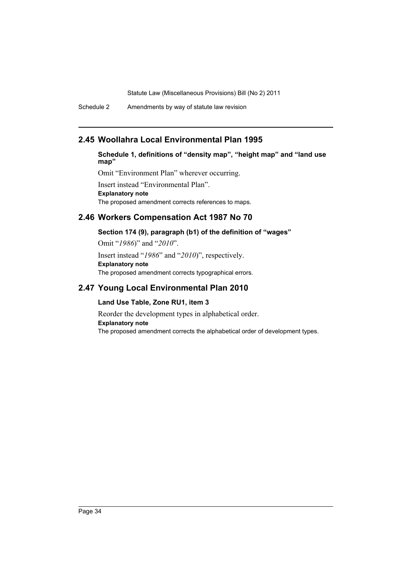Schedule 2 Amendments by way of statute law revision

# **2.45 Woollahra Local Environmental Plan 1995**

**Schedule 1, definitions of "density map", "height map" and "land use map"**

Omit "Environment Plan" wherever occurring.

Insert instead "Environmental Plan". **Explanatory note** The proposed amendment corrects references to maps.

# **2.46 Workers Compensation Act 1987 No 70**

**Section 174 (9), paragraph (b1) of the definition of "wages"**

Omit "*1986*)" and "*2010*". Insert instead "*1986*" and "*2010*)", respectively. **Explanatory note** The proposed amendment corrects typographical errors.

# **2.47 Young Local Environmental Plan 2010**

# **Land Use Table, Zone RU1, item 3**

Reorder the development types in alphabetical order. **Explanatory note** The proposed amendment corrects the alphabetical order of development types.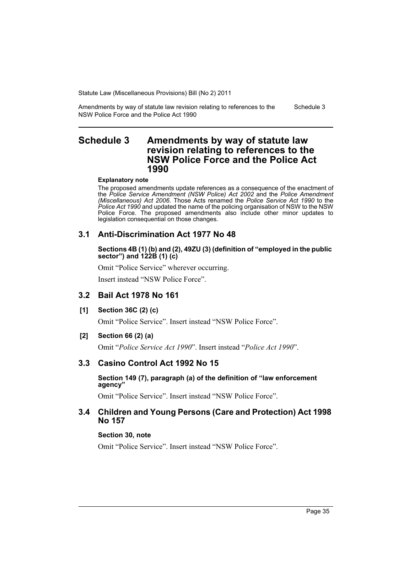Amendments by way of statute law revision relating to references to the NSW Police Force and the Police Act 1990 Schedule 3

## **Schedule 3 Amendments by way of statute law revision relating to references to the NSW Police Force and the Police Act 1990**

#### **Explanatory note**

The proposed amendments update references as a consequence of the enactment of the *Police Service Amendment (NSW Police) Act 2002* and the *Police Amendment (Miscellaneous) Act 2006*. Those Acts renamed the *Police Service Act 1990* to the *Police Act 1990* and updated the name of the policing organisation of NSW to the NSW Police Force. The proposed amendments also include other minor updates to legislation consequential on those changes.

## **3.1 Anti-Discrimination Act 1977 No 48**

### **Sections 4B (1) (b) and (2), 49ZU (3) (definition of "employed in the public sector") and 122B (1) (c)**

Omit "Police Service" wherever occurring.

Insert instead "NSW Police Force".

## **3.2 Bail Act 1978 No 161**

**[1] Section 36C (2) (c)**

Omit "Police Service". Insert instead "NSW Police Force".

**[2] Section 66 (2) (a)**

Omit "*Police Service Act 1990*". Insert instead "*Police Act 1990*".

## **3.3 Casino Control Act 1992 No 15**

## **Section 149 (7), paragraph (a) of the definition of "law enforcement agency"**

Omit "Police Service". Insert instead "NSW Police Force".

## **3.4 Children and Young Persons (Care and Protection) Act 1998 No 157**

## **Section 30, note**

Omit "Police Service". Insert instead "NSW Police Force".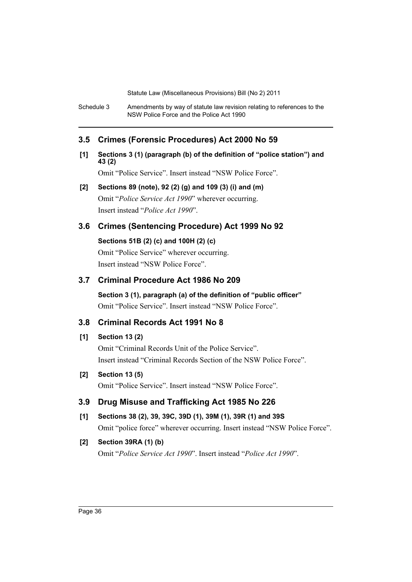Schedule 3 Amendments by way of statute law revision relating to references to the NSW Police Force and the Police Act 1990

## **3.5 Crimes (Forensic Procedures) Act 2000 No 59**

**[1] Sections 3 (1) (paragraph (b) of the definition of "police station") and 43 (2)**

Omit "Police Service". Insert instead "NSW Police Force".

## **[2] Sections 89 (note), 92 (2) (g) and 109 (3) (i) and (m)** Omit "*Police Service Act 1990*" wherever occurring. Insert instead "*Police Act 1990*".

## **3.6 Crimes (Sentencing Procedure) Act 1999 No 92**

**Sections 51B (2) (c) and 100H (2) (c)** Omit "Police Service" wherever occurring. Insert instead "NSW Police Force".

## **3.7 Criminal Procedure Act 1986 No 209**

**Section 3 (1), paragraph (a) of the definition of "public officer"** Omit "Police Service". Insert instead "NSW Police Force".

## **3.8 Criminal Records Act 1991 No 8**

## **[1] Section 13 (2)**

Omit "Criminal Records Unit of the Police Service". Insert instead "Criminal Records Section of the NSW Police Force".

## **[2] Section 13 (5)**

Omit "Police Service". Insert instead "NSW Police Force".

## **3.9 Drug Misuse and Trafficking Act 1985 No 226**

**[1] Sections 38 (2), 39, 39C, 39D (1), 39M (1), 39R (1) and 39S**

## Omit "police force" wherever occurring. Insert instead "NSW Police Force".

## **[2] Section 39RA (1) (b)**

Omit "*Police Service Act 1990*". Insert instead "*Police Act 1990*".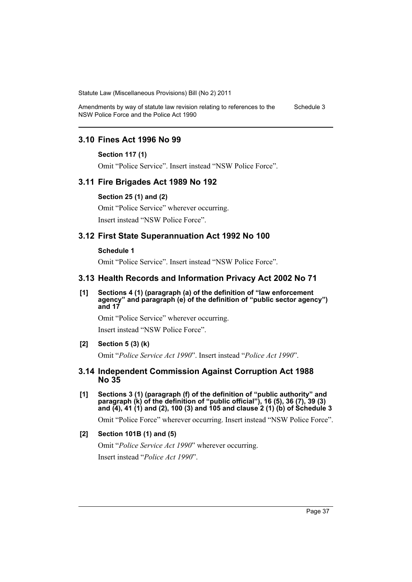Amendments by way of statute law revision relating to references to the NSW Police Force and the Police Act 1990 Schedule 3

## **3.10 Fines Act 1996 No 99**

#### **Section 117 (1)**

Omit "Police Service". Insert instead "NSW Police Force".

### **3.11 Fire Brigades Act 1989 No 192**

#### **Section 25 (1) and (2)**

Omit "Police Service" wherever occurring. Insert instead "NSW Police Force".

### **3.12 First State Superannuation Act 1992 No 100**

#### **Schedule 1**

Omit "Police Service". Insert instead "NSW Police Force".

### **3.13 Health Records and Information Privacy Act 2002 No 71**

**[1] Sections 4 (1) (paragraph (a) of the definition of "law enforcement agency" and paragraph (e) of the definition of "public sector agency") and 17**

Omit "Police Service" wherever occurring. Insert instead "NSW Police Force".

### **[2] Section 5 (3) (k)**

Omit "*Police Service Act 1990*". Insert instead "*Police Act 1990*".

### **3.14 Independent Commission Against Corruption Act 1988 No 35**

**[1] Sections 3 (1) (paragraph (f) of the definition of "public authority" and paragraph (k) of the definition of "public official"), 16 (5), 36 (7), 39 (3) and (4), 41 (1) and (2), 100 (3) and 105 and clause 2 (1) (b) of Schedule 3**

Omit "Police Force" wherever occurring. Insert instead "NSW Police Force".

### **[2] Section 101B (1) and (5)**

Omit "*Police Service Act 1990*" wherever occurring.

Insert instead "*Police Act 1990*".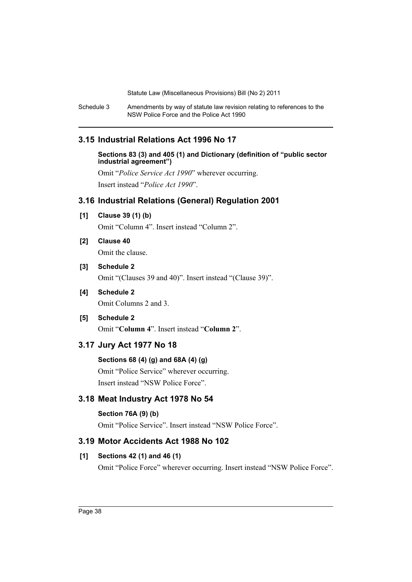Schedule 3 Amendments by way of statute law revision relating to references to the NSW Police Force and the Police Act 1990

## **3.15 Industrial Relations Act 1996 No 17**

**Sections 83 (3) and 405 (1) and Dictionary (definition of "public sector industrial agreement")**

Omit "*Police Service Act 1990*" wherever occurring. Insert instead "*Police Act 1990*".

## **3.16 Industrial Relations (General) Regulation 2001**

**[1] Clause 39 (1) (b)**

Omit "Column 4". Insert instead "Column 2".

**[2] Clause 40**

Omit the clause.

## **[3] Schedule 2**

Omit "(Clauses 39 and 40)". Insert instead "(Clause 39)".

## **[4] Schedule 2**

Omit Columns 2 and 3.

## **[5] Schedule 2**

Omit "**Column 4**". Insert instead "**Column 2**".

## **3.17 Jury Act 1977 No 18**

## **Sections 68 (4) (g) and 68A (4) (g)**

Omit "Police Service" wherever occurring. Insert instead "NSW Police Force".

## **3.18 Meat Industry Act 1978 No 54**

## **Section 76A (9) (b)**

Omit "Police Service". Insert instead "NSW Police Force".

## **3.19 Motor Accidents Act 1988 No 102**

## **[1] Sections 42 (1) and 46 (1)**

Omit "Police Force" wherever occurring. Insert instead "NSW Police Force".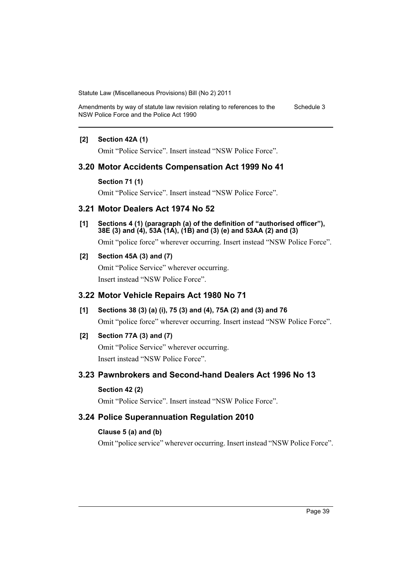Amendments by way of statute law revision relating to references to the NSW Police Force and the Police Act 1990 Schedule 3

### **[2] Section 42A (1)**

Omit "Police Service". Insert instead "NSW Police Force".

## **3.20 Motor Accidents Compensation Act 1999 No 41**

#### **Section 71 (1)**

Omit "Police Service". Insert instead "NSW Police Force".

## **3.21 Motor Dealers Act 1974 No 52**

**[1] Sections 4 (1) (paragraph (a) of the definition of "authorised officer"), 38E (3) and (4), 53A (1A), (1B) and (3) (e) and 53AA (2) and (3)**

Omit "police force" wherever occurring. Insert instead "NSW Police Force".

## **[2] Section 45A (3) and (7)**

Omit "Police Service" wherever occurring. Insert instead "NSW Police Force".

## **3.22 Motor Vehicle Repairs Act 1980 No 71**

## **[1] Sections 38 (3) (a) (i), 75 (3) and (4), 75A (2) and (3) and 76**

Omit "police force" wherever occurring. Insert instead "NSW Police Force".

## **[2] Section 77A (3) and (7)**

Omit "Police Service" wherever occurring. Insert instead "NSW Police Force".

## **3.23 Pawnbrokers and Second-hand Dealers Act 1996 No 13**

## **Section 42 (2)**

Omit "Police Service". Insert instead "NSW Police Force".

## **3.24 Police Superannuation Regulation 2010**

### **Clause 5 (a) and (b)**

Omit "police service" wherever occurring. Insert instead "NSW Police Force".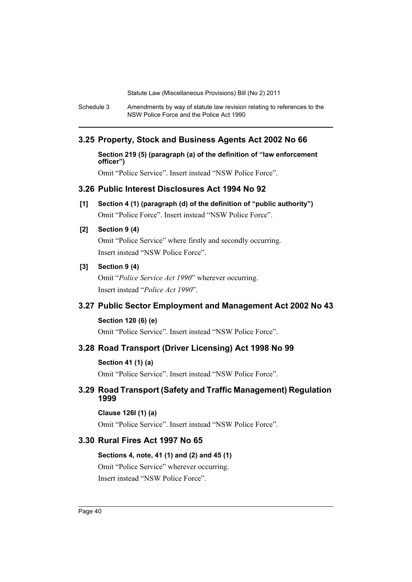Schedule 3 Amendments by way of statute law revision relating to references to the NSW Police Force and the Police Act 1990

## **3.25 Property, Stock and Business Agents Act 2002 No 66**

**Section 219 (5) (paragraph (a) of the definition of "law enforcement officer")**

Omit "Police Service". Insert instead "NSW Police Force".

## **3.26 Public Interest Disclosures Act 1994 No 92**

**[1] Section 4 (1) (paragraph (d) of the definition of "public authority")** Omit "Police Force". Insert instead "NSW Police Force".

## **[2] Section 9 (4)**

Omit "Police Service" where firstly and secondly occurring. Insert instead "NSW Police Force".

## **[3] Section 9 (4)**

Omit "*Police Service Act 1990*" wherever occurring. Insert instead "*Police Act 1990*".

## **3.27 Public Sector Employment and Management Act 2002 No 43**

### **Section 120 (6) (e)**

Omit "Police Service". Insert instead "NSW Police Force".

### **3.28 Road Transport (Driver Licensing) Act 1998 No 99**

#### **Section 41 (1) (a)**

Omit "Police Service". Insert instead "NSW Police Force".

## **3.29 Road Transport (Safety and Traffic Management) Regulation 1999**

## **Clause 126I (1) (a)**

Omit "Police Service". Insert instead "NSW Police Force".

## **3.30 Rural Fires Act 1997 No 65**

### **Sections 4, note, 41 (1) and (2) and 45 (1)**

Omit "Police Service" wherever occurring. Insert instead "NSW Police Force".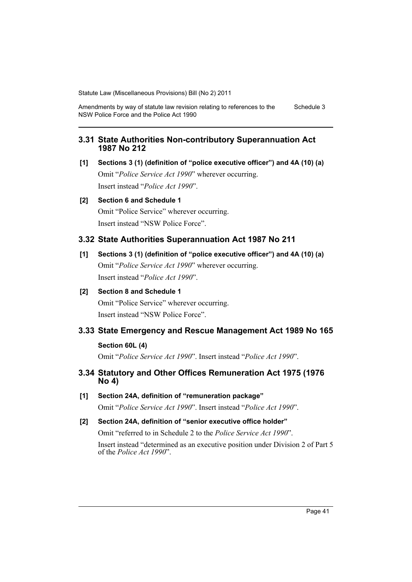Amendments by way of statute law revision relating to references to the NSW Police Force and the Police Act 1990 Schedule 3

## **3.31 State Authorities Non-contributory Superannuation Act 1987 No 212**

**[1] Sections 3 (1) (definition of "police executive officer") and 4A (10) (a)** Omit "*Police Service Act 1990*" wherever occurring. Insert instead "*Police Act 1990*".

## **[2] Section 6 and Schedule 1**

Omit "Police Service" wherever occurring. Insert instead "NSW Police Force".

## **3.32 State Authorities Superannuation Act 1987 No 211**

**[1] Sections 3 (1) (definition of "police executive officer") and 4A (10) (a)** Omit "*Police Service Act 1990*" wherever occurring. Insert instead "*Police Act 1990*".

## **[2] Section 8 and Schedule 1**

Omit "Police Service" wherever occurring. Insert instead "NSW Police Force".

## **3.33 State Emergency and Rescue Management Act 1989 No 165**

## **Section 60L (4)**

Omit "*Police Service Act 1990*". Insert instead "*Police Act 1990*".

## **3.34 Statutory and Other Offices Remuneration Act 1975 (1976 No 4)**

**[1] Section 24A, definition of "remuneration package"** Omit "*Police Service Act 1990*". Insert instead "*Police Act 1990*".

## **[2] Section 24A, definition of "senior executive office holder"**

Omit "referred to in Schedule 2 to the *Police Service Act 1990*".

Insert instead "determined as an executive position under Division 2 of Part 5 of the *Police Act 1990*".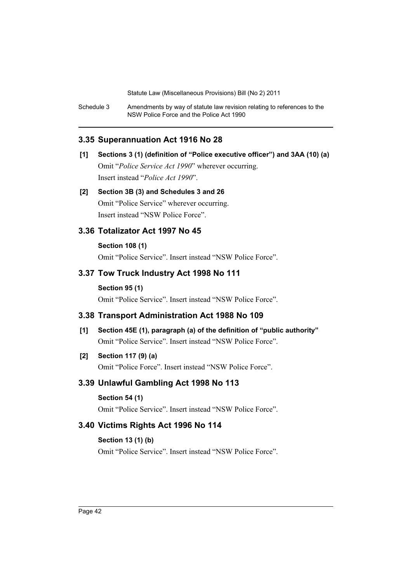Schedule 3 Amendments by way of statute law revision relating to references to the NSW Police Force and the Police Act 1990

## **3.35 Superannuation Act 1916 No 28**

## **[1] Sections 3 (1) (definition of "Police executive officer") and 3AA (10) (a)** Omit "*Police Service Act 1990*" wherever occurring. Insert instead "*Police Act 1990*".

## **[2] Section 3B (3) and Schedules 3 and 26**

Omit "Police Service" wherever occurring. Insert instead "NSW Police Force".

## **3.36 Totalizator Act 1997 No 45**

## **Section 108 (1)**

Omit "Police Service". Insert instead "NSW Police Force".

## **3.37 Tow Truck Industry Act 1998 No 111**

#### **Section 95 (1)**

Omit "Police Service". Insert instead "NSW Police Force".

## **3.38 Transport Administration Act 1988 No 109**

**[1] Section 45E (1), paragraph (a) of the definition of "public authority"** Omit "Police Service". Insert instead "NSW Police Force".

## **[2] Section 117 (9) (a)**

Omit "Police Force". Insert instead "NSW Police Force".

## **3.39 Unlawful Gambling Act 1998 No 113**

## **Section 54 (1)**

Omit "Police Service". Insert instead "NSW Police Force".

## **3.40 Victims Rights Act 1996 No 114**

## **Section 13 (1) (b)**

Omit "Police Service". Insert instead "NSW Police Force".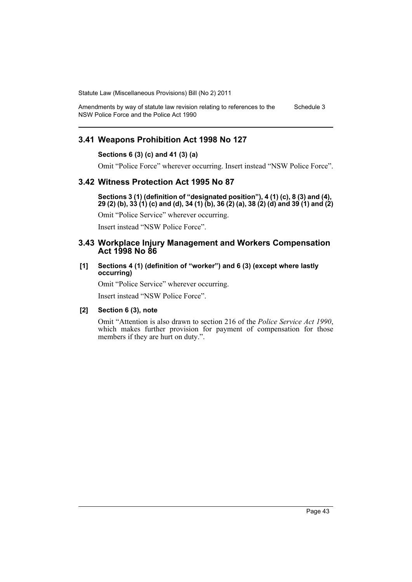Amendments by way of statute law revision relating to references to the NSW Police Force and the Police Act 1990 Schedule 3

## **3.41 Weapons Prohibition Act 1998 No 127**

## **Sections 6 (3) (c) and 41 (3) (a)**

Omit "Police Force" wherever occurring. Insert instead "NSW Police Force".

## **3.42 Witness Protection Act 1995 No 87**

**Sections 3 (1) (definition of "designated position"), 4 (1) (c), 8 (3) and (4), 29 (2) (b), 33 (1) (c) and (d), 34 (1) (b), 36 (2) (a), 38 (2) (d) and 39 (1) and (2)**

Omit "Police Service" wherever occurring.

Insert instead "NSW Police Force".

### **3.43 Workplace Injury Management and Workers Compensation Act 1998 No 86**

#### **[1] Sections 4 (1) (definition of "worker") and 6 (3) (except where lastly occurring)**

Omit "Police Service" wherever occurring.

Insert instead "NSW Police Force".

#### **[2] Section 6 (3), note**

Omit "Attention is also drawn to section 216 of the *Police Service Act 1990*, which makes further provision for payment of compensation for those members if they are hurt on duty.".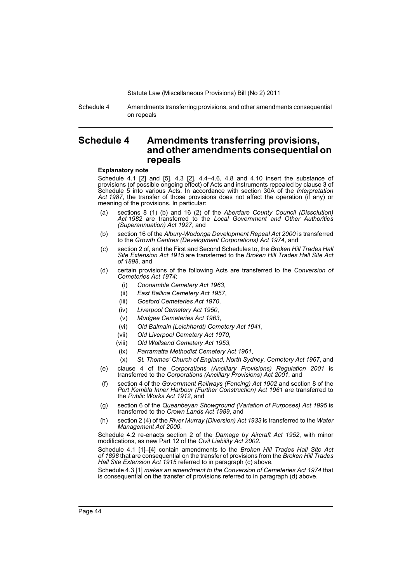Schedule 4 Amendments transferring provisions, and other amendments consequential on repeals

## **Schedule 4 Amendments transferring provisions, and other amendments consequential on repeals**

#### **Explanatory note**

Schedule 4.1 [2] and [5], 4.3 [2], 4.4–4.6, 4.8 and 4.10 insert the substance of provisions (of possible ongoing effect) of Acts and instruments repealed by clause 3 of Schedule 5 into various Acts. In accordance with section 30A of the *Interpretation Act 1987*, the transfer of those provisions does not affect the operation (if any) or meaning of the provisions. In particular:

- (a) sections 8 (1) (b) and 16 (2) of the *Aberdare County Council (Dissolution) Act 1982* are transferred to the *Local Government and Other Authorities (Superannuation) Act 1927*, and
- (b) section 16 of the *Albury-Wodonga Development Repeal Act 2000* is transferred to the *Growth Centres (Development Corporations) Act 1974*, and
- (c) section 2 of, and the First and Second Schedules to, the *Broken Hill Trades Hall Site Extension Act 1915* are transferred to the *Broken Hill Trades Hall Site Act of 1898*, and
- (d) certain provisions of the following Acts are transferred to the *Conversion of Cemeteries Act 1974*:
	- (i) *Coonamble Cemetery Act 1963*,
	- (ii) *East Ballina Cemetery Act 1957*,
	- (iii) *Gosford Cemeteries Act 1970*,
	- (iv) *Liverpool Cemetery Act 1950*,
	- (v) *Mudgee Cemeteries Act 1963*,
	- (vi) *Old Balmain (Leichhardt) Cemetery Act 1941*,
	- (vii) *Old Liverpool Cemetery Act 1970*,
	- (viii) *Old Wallsend Cemetery Act 1953*,
	- (ix) *Parramatta Methodist Cemetery Act 1961*,
	- (x) *St. Thomas' Church of England, North Sydney, Cemetery Act 1967*, and
- (e) clause 4 of the *Corporations (Ancillary Provisions) Regulation 2001* is transferred to the *Corporations (Ancillary Provisions) Act 2001*, and
- (f) section 4 of the *Government Railways (Fencing) Act 1902* and section 8 of the *Port Kembla Inner Harbour (Further Construction) Act 1961* are transferred to the *Public Works Act 1912*, and
- (g) section 6 of the *Queanbeyan Showground (Variation of Purposes) Act 1995* is transferred to the *Crown Lands Act 1989*, and
- (h) section 2 (4) of the *River Murray (Diversion) Act 1933* is transferred to the *Water Management Act 2000*.

Schedule 4.2 re-enacts section 2 of the *Damage by Aircraft Act 1952*, with minor modifications, as new Part 12 of the *Civil Liability Act 2002*.

Schedule 4.1 [1]–[4] contain amendments to the *Broken Hill Trades Hall Site Act of 1898* that are consequential on the transfer of provisions from the *Broken Hill Trades Hall Site Extension Act 1915* referred to in paragraph (c) above.

Schedule 4.3 [1] *makes an amendment to the Conversion of Cemeteries Act 1974* that is consequential on the transfer of provisions referred to in paragraph (d) above.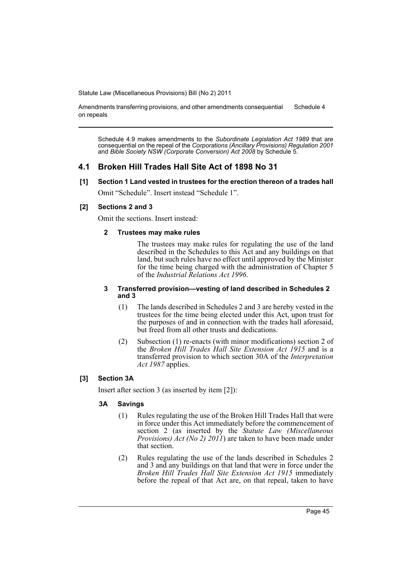Amendments transferring provisions, and other amendments consequential on repeals Schedule 4

Schedule 4.9 makes amendments to the *Subordinate Legislation Act 1989* that are consequential on the repeal of the *Corporations (Ancillary Provisions) Regulation 2001* and *Bible Society NSW (Corporate Conversion) Act 2008* by Schedule 5.

## **4.1 Broken Hill Trades Hall Site Act of 1898 No 31**

**[1] Section 1 Land vested in trustees for the erection thereon of a trades hall**

Omit "Schedule". Insert instead "Schedule 1".

## **[2] Sections 2 and 3**

Omit the sections. Insert instead:

### **2 Trustees may make rules**

The trustees may make rules for regulating the use of the land described in the Schedules to this Act and any buildings on that land, but such rules have no effect until approved by the Minister for the time being charged with the administration of Chapter 5 of the *Industrial Relations Act 1996*.

#### **3 Transferred provision—vesting of land described in Schedules 2 and 3**

- (1) The lands described in Schedules 2 and 3 are hereby vested in the trustees for the time being elected under this Act, upon trust for the purposes of and in connection with the trades hall aforesaid, but freed from all other trusts and dedications.
- (2) Subsection (1) re-enacts (with minor modifications) section 2 of the *Broken Hill Trades Hall Site Extension Act 1915* and is a transferred provision to which section 30A of the *Interpretation Act 1987* applies.

## **[3] Section 3A**

Insert after section 3 (as inserted by item [2]):

## **3A Savings**

- (1) Rules regulating the use of the Broken Hill Trades Hall that were in force under this Act immediately before the commencement of section 2 (as inserted by the *Statute Law (Miscellaneous Provisions) Act (No 2) 2011*) are taken to have been made under that section.
- (2) Rules regulating the use of the lands described in Schedules 2 and 3 and any buildings on that land that were in force under the *Broken Hill Trades Hall Site Extension Act 1915* immediately before the repeal of that Act are, on that repeal, taken to have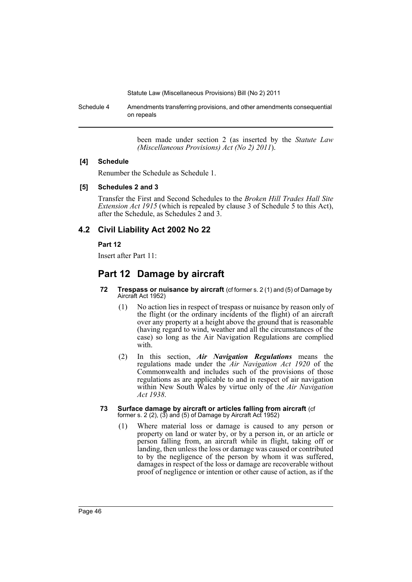Schedule 4 Amendments transferring provisions, and other amendments consequential on repeals

> been made under section 2 (as inserted by the *Statute Law (Miscellaneous Provisions) Act (No 2) 2011*).

### **[4] Schedule**

Renumber the Schedule as Schedule 1.

### **[5] Schedules 2 and 3**

Transfer the First and Second Schedules to the *Broken Hill Trades Hall Site Extension Act 1915* (which is repealed by clause 3 of Schedule 5 to this Act), after the Schedule, as Schedules 2 and 3.

## **4.2 Civil Liability Act 2002 No 22**

## **Part 12**

Insert after Part 11:

# **Part 12 Damage by aircraft**

- **72 Trespass or nuisance by aircraft** (cf former s. 2 (1) and (5) of Damage by Aircraft Act 1952)
	- (1) No action lies in respect of trespass or nuisance by reason only of the flight (or the ordinary incidents of the flight) of an aircraft over any property at a height above the ground that is reasonable (having regard to wind, weather and all the circumstances of the case) so long as the Air Navigation Regulations are complied with.
	- (2) In this section, *Air Navigation Regulations* means the regulations made under the *Air Navigation Act 1920* of the Commonwealth and includes such of the provisions of those regulations as are applicable to and in respect of air navigation within New South Wales by virtue only of the *Air Navigation Act 1938*.
- **73 Surface damage by aircraft or articles falling from aircraft** (cf former s. 2 (2), (3) and (5) of Damage by Aircraft Act 1952)
	- (1) Where material loss or damage is caused to any person or property on land or water by, or by a person in, or an article or person falling from, an aircraft while in flight, taking off or landing, then unless the loss or damage was caused or contributed to by the negligence of the person by whom it was suffered, damages in respect of the loss or damage are recoverable without proof of negligence or intention or other cause of action, as if the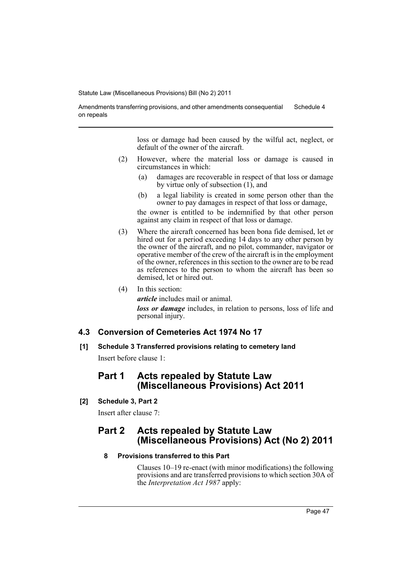Amendments transferring provisions, and other amendments consequential on repeals Schedule 4

> loss or damage had been caused by the wilful act, neglect, or default of the owner of the aircraft.

- (2) However, where the material loss or damage is caused in circumstances in which:
	- (a) damages are recoverable in respect of that loss or damage by virtue only of subsection  $(1)$ , and
	- (b) a legal liability is created in some person other than the owner to pay damages in respect of that loss or damage,

the owner is entitled to be indemnified by that other person against any claim in respect of that loss or damage.

- (3) Where the aircraft concerned has been bona fide demised, let or hired out for a period exceeding 14 days to any other person by the owner of the aircraft, and no pilot, commander, navigator or operative member of the crew of the aircraft is in the employment of the owner, references in this section to the owner are to be read as references to the person to whom the aircraft has been so demised, let or hired out.
- (4) In this section:

*article* includes mail or animal.

*loss or damage* includes, in relation to persons, loss of life and personal injury.

## **4.3 Conversion of Cemeteries Act 1974 No 17**

**[1] Schedule 3 Transferred provisions relating to cemetery land** Insert before clause 1:

## **Part 1 Acts repealed by Statute Law (Miscellaneous Provisions) Act 2011**

**[2] Schedule 3, Part 2**

Insert after clause 7:

## **Part 2 Acts repealed by Statute Law (Miscellaneous Provisions) Act (No 2) 2011**

### **8 Provisions transferred to this Part**

Clauses 10–19 re-enact (with minor modifications) the following provisions and are transferred provisions to which section 30A of the *Interpretation Act 1987* apply: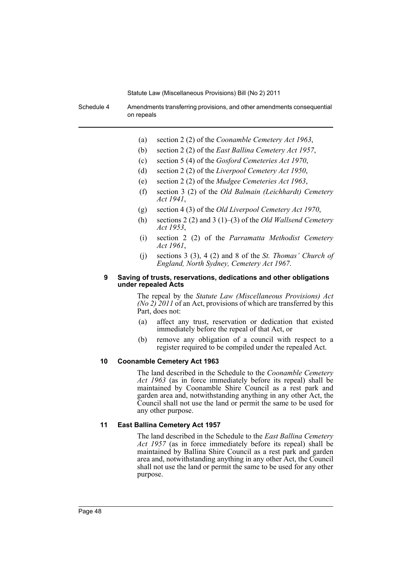Schedule 4 Amendments transferring provisions, and other amendments consequential on repeals

- (a) section 2 (2) of the *Coonamble Cemetery Act 1963*,
- (b) section 2 (2) of the *East Ballina Cemetery Act 1957*,
- (c) section 5 (4) of the *Gosford Cemeteries Act 1970*,
- (d) section 2 (2) of the *Liverpool Cemetery Act 1950*,
- (e) section 2 (2) of the *Mudgee Cemeteries Act 1963*,
- (f) section 3 (2) of the *Old Balmain (Leichhardt) Cemetery Act 1941*,
- (g) section 4 (3) of the *Old Liverpool Cemetery Act 1970*,
- (h) sections 2 (2) and 3 (1)–(3) of the *Old Wallsend Cemetery Act 1953*,
- (i) section 2 (2) of the *Parramatta Methodist Cemetery Act 1961*,
- (j) sections 3 (3), 4 (2) and 8 of the *St. Thomas' Church of England, North Sydney, Cemetery Act 1967*.

#### **9 Saving of trusts, reservations, dedications and other obligations under repealed Acts**

The repeal by the *Statute Law (Miscellaneous Provisions) Act (No 2) 2011* of an Act, provisions of which are transferred by this Part, does not:

- (a) affect any trust, reservation or dedication that existed immediately before the repeal of that Act, or
- (b) remove any obligation of a council with respect to a register required to be compiled under the repealed Act.

#### **10 Coonamble Cemetery Act 1963**

The land described in the Schedule to the *Coonamble Cemetery Act 1963* (as in force immediately before its repeal) shall be maintained by Coonamble Shire Council as a rest park and garden area and, notwithstanding anything in any other Act, the Council shall not use the land or permit the same to be used for any other purpose.

#### **11 East Ballina Cemetery Act 1957**

The land described in the Schedule to the *East Ballina Cemetery Act 1957* (as in force immediately before its repeal) shall be maintained by Ballina Shire Council as a rest park and garden area and, notwithstanding anything in any other Act, the Council shall not use the land or permit the same to be used for any other purpose.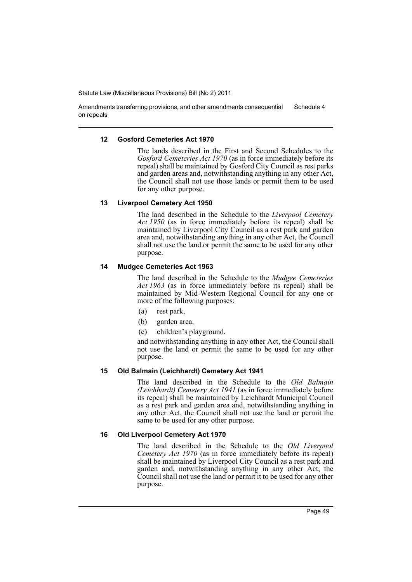Amendments transferring provisions, and other amendments consequential on repeals Schedule 4

### **12 Gosford Cemeteries Act 1970**

The lands described in the First and Second Schedules to the *Gosford Cemeteries Act 1970* (as in force immediately before its repeal) shall be maintained by Gosford City Council as rest parks and garden areas and, notwithstanding anything in any other Act, the Council shall not use those lands or permit them to be used for any other purpose.

### **13 Liverpool Cemetery Act 1950**

The land described in the Schedule to the *Liverpool Cemetery Act 1950* (as in force immediately before its repeal) shall be maintained by Liverpool City Council as a rest park and garden area and, notwithstanding anything in any other Act, the Council shall not use the land or permit the same to be used for any other purpose.

### **14 Mudgee Cemeteries Act 1963**

The land described in the Schedule to the *Mudgee Cemeteries Act 1963* (as in force immediately before its repeal) shall be maintained by Mid-Western Regional Council for any one or more of the following purposes:

- (a) rest park,
- (b) garden area,
- (c) children's playground,

and notwithstanding anything in any other Act, the Council shall not use the land or permit the same to be used for any other purpose.

## **15 Old Balmain (Leichhardt) Cemetery Act 1941**

The land described in the Schedule to the *Old Balmain (Leichhardt) Cemetery Act 1941* (as in force immediately before its repeal) shall be maintained by Leichhardt Municipal Council as a rest park and garden area and, notwithstanding anything in any other Act, the Council shall not use the land or permit the same to be used for any other purpose.

## **16 Old Liverpool Cemetery Act 1970**

The land described in the Schedule to the *Old Liverpool Cemetery Act 1970* (as in force immediately before its repeal) shall be maintained by Liverpool City Council as a rest park and garden and, notwithstanding anything in any other Act, the Council shall not use the land or permit it to be used for any other purpose.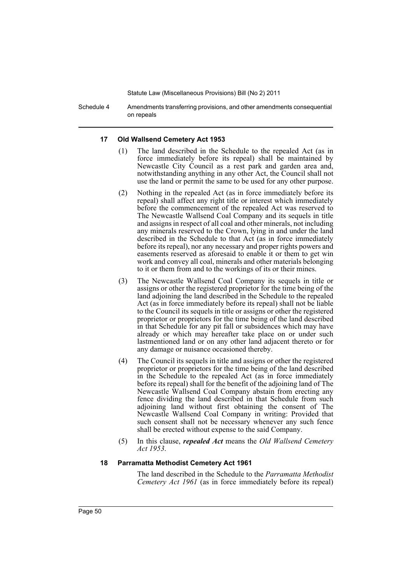Schedule 4 Amendments transferring provisions, and other amendments consequential on repeals

#### **17 Old Wallsend Cemetery Act 1953**

- The land described in the Schedule to the repealed Act (as in force immediately before its repeal) shall be maintained by Newcastle City Council as a rest park and garden area and, notwithstanding anything in any other Act, the Council shall not use the land or permit the same to be used for any other purpose.
- (2) Nothing in the repealed Act (as in force immediately before its repeal) shall affect any right title or interest which immediately before the commencement of the repealed Act was reserved to The Newcastle Wallsend Coal Company and its sequels in title and assigns in respect of all coal and other minerals, not including any minerals reserved to the Crown, lying in and under the land described in the Schedule to that Act (as in force immediately before its repeal), nor any necessary and proper rights powers and easements reserved as aforesaid to enable it or them to get win work and convey all coal, minerals and other materials belonging to it or them from and to the workings of its or their mines.
- (3) The Newcastle Wallsend Coal Company its sequels in title or assigns or other the registered proprietor for the time being of the land adjoining the land described in the Schedule to the repealed Act (as in force immediately before its repeal) shall not be liable to the Council its sequels in title or assigns or other the registered proprietor or proprietors for the time being of the land described in that Schedule for any pit fall or subsidences which may have already or which may hereafter take place on or under such lastmentioned land or on any other land adjacent thereto or for any damage or nuisance occasioned thereby.
- (4) The Council its sequels in title and assigns or other the registered proprietor or proprietors for the time being of the land described in the Schedule to the repealed Act (as in force immediately before its repeal) shall for the benefit of the adjoining land of The Newcastle Wallsend Coal Company abstain from erecting any fence dividing the land described in that Schedule from such adjoining land without first obtaining the consent of The Newcastle Wallsend Coal Company in writing: Provided that such consent shall not be necessary whenever any such fence shall be erected without expense to the said Company.
- (5) In this clause, *repealed Act* means the *Old Wallsend Cemetery Act 1953*.

#### **18 Parramatta Methodist Cemetery Act 1961**

The land described in the Schedule to the *Parramatta Methodist Cemetery Act 1961* (as in force immediately before its repeal)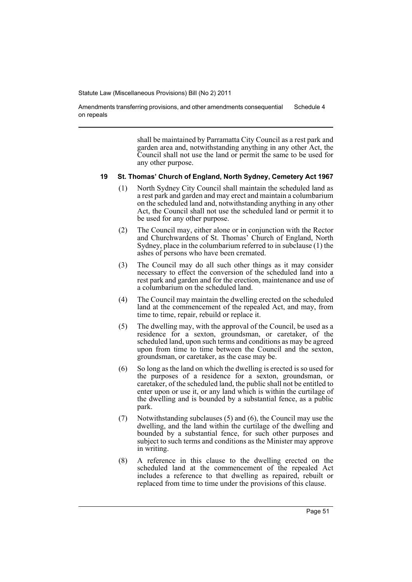Amendments transferring provisions, and other amendments consequential on repeals Schedule 4

> shall be maintained by Parramatta City Council as a rest park and garden area and, notwithstanding anything in any other Act, the Council shall not use the land or permit the same to be used for any other purpose.

#### **19 St. Thomas' Church of England, North Sydney, Cemetery Act 1967**

- (1) North Sydney City Council shall maintain the scheduled land as a rest park and garden and may erect and maintain a columbarium on the scheduled land and, notwithstanding anything in any other Act, the Council shall not use the scheduled land or permit it to be used for any other purpose.
- (2) The Council may, either alone or in conjunction with the Rector and Churchwardens of St. Thomas' Church of England, North Sydney, place in the columbarium referred to in subclause (1) the ashes of persons who have been cremated.
- (3) The Council may do all such other things as it may consider necessary to effect the conversion of the scheduled land into a rest park and garden and for the erection, maintenance and use of a columbarium on the scheduled land.
- (4) The Council may maintain the dwelling erected on the scheduled land at the commencement of the repealed Act, and may, from time to time, repair, rebuild or replace it.
- (5) The dwelling may, with the approval of the Council, be used as a residence for a sexton, groundsman, or caretaker, of the scheduled land, upon such terms and conditions as may be agreed upon from time to time between the Council and the sexton, groundsman, or caretaker, as the case may be.
- (6) So long as the land on which the dwelling is erected is so used for the purposes of a residence for a sexton, groundsman, or caretaker, of the scheduled land, the public shall not be entitled to enter upon or use it, or any land which is within the curtilage of the dwelling and is bounded by a substantial fence, as a public park.
- (7) Notwithstanding subclauses (5) and (6), the Council may use the dwelling, and the land within the curtilage of the dwelling and bounded by a substantial fence, for such other purposes and subject to such terms and conditions as the Minister may approve in writing.
- (8) A reference in this clause to the dwelling erected on the scheduled land at the commencement of the repealed Act includes a reference to that dwelling as repaired, rebuilt or replaced from time to time under the provisions of this clause.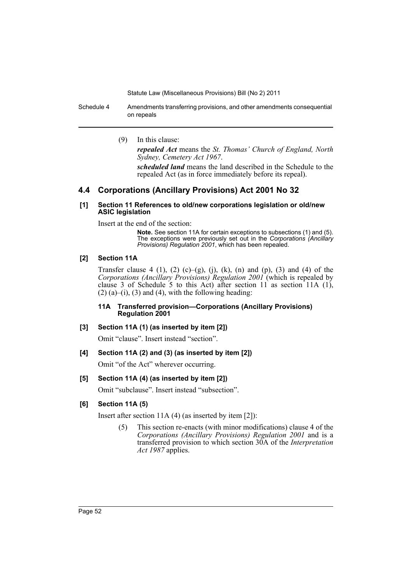Schedule 4 Amendments transferring provisions, and other amendments consequential on repeals

(9) In this clause:

*repealed Act* means the *St. Thomas' Church of England, North Sydney, Cemetery Act 1967*.

*scheduled land* means the land described in the Schedule to the repealed Act (as in force immediately before its repeal).

## **4.4 Corporations (Ancillary Provisions) Act 2001 No 32**

#### **[1] Section 11 References to old/new corporations legislation or old/new ASIC legislation**

Insert at the end of the section:

**Note.** See section 11A for certain exceptions to subsections (1) and (5). The exceptions were previously set out in the *Corporations (Ancillary Provisions) Regulation 2001*, which has been repealed.

### **[2] Section 11A**

Transfer clause 4 (1), (2) (c)–(g), (j), (k), (n) and (p), (3) and (4) of the *Corporations (Ancillary Provisions) Regulation 2001* (which is repealed by clause 3 of Schedule 5 to this Act) after section 11 as section 11A  $(1)$ ,  $(2)$  (a)–(i), (3) and (4), with the following heading:

#### **11A Transferred provision—Corporations (Ancillary Provisions) Regulation 2001**

## **[3] Section 11A (1) (as inserted by item [2])**

Omit "clause". Insert instead "section".

## **[4] Section 11A (2) and (3) (as inserted by item [2])**

Omit "of the Act" wherever occurring.

## **[5] Section 11A (4) (as inserted by item [2])**

Omit "subclause". Insert instead "subsection".

## **[6] Section 11A (5)**

Insert after section 11A (4) (as inserted by item [2]):

(5) This section re-enacts (with minor modifications) clause 4 of the *Corporations (Ancillary Provisions) Regulation 2001* and is a transferred provision to which section 30A of the *Interpretation Act 1987* applies.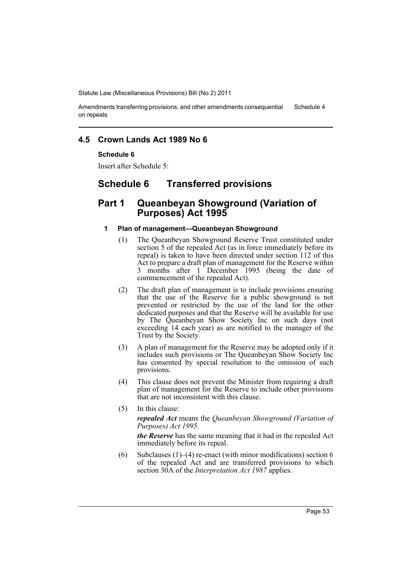Amendments transferring provisions, and other amendments consequential on repeals Schedule 4

## **4.5 Crown Lands Act 1989 No 6**

### **Schedule 6**

Insert after Schedule 5:

## **Schedule 6 Transferred provisions**

## **Part 1 Queanbeyan Showground (Variation of Purposes) Act 1995**

#### **1 Plan of management—Queanbeyan Showground**

- (1) The Queanbeyan Showground Reserve Trust constituted under section 5 of the repealed Act (as in force immediately before its repeal) is taken to have been directed under section 112 of this Act to prepare a draft plan of management for the Reserve within 3 months after 1 December 1995 (being the date of commencement of the repealed Act).
- (2) The draft plan of management is to include provisions ensuring that the use of the Reserve for a public showground is not prevented or restricted by the use of the land for the other dedicated purposes and that the Reserve will be available for use by The Queanbeyan Show Society Inc on such days (not exceeding 14 each year) as are notified to the manager of the Trust by the Society.
- (3) A plan of management for the Reserve may be adopted only if it includes such provisions or The Queanbeyan Show Society Inc has consented by special resolution to the omission of such provisions.
- (4) This clause does not prevent the Minister from requiring a draft plan of management for the Reserve to include other provisions that are not inconsistent with this clause.
- (5) In this clause: *repealed Act* means the *Queanbeyan Showground (Variation of Purposes) Act 1995*.

*the Reserve* has the same meaning that it had in the repealed Act immediately before its repeal.

(6) Subclauses (1)–(4) re-enact (with minor modifications) section  $6$ of the repealed Act and are transferred provisions to which section 30A of the *Interpretation Act 1987* applies.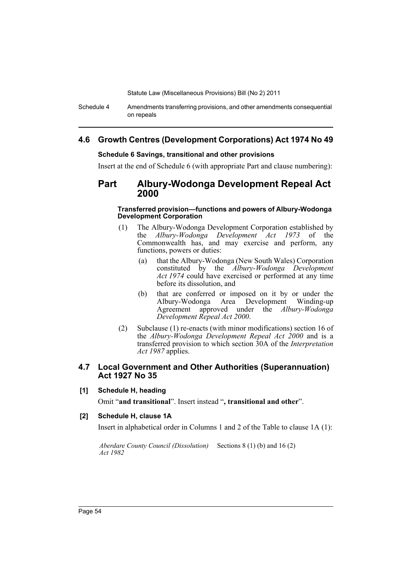Schedule 4 Amendments transferring provisions, and other amendments consequential on repeals

## **4.6 Growth Centres (Development Corporations) Act 1974 No 49**

### **Schedule 6 Savings, transitional and other provisions**

Insert at the end of Schedule 6 (with appropriate Part and clause numbering):

## **Part Albury-Wodonga Development Repeal Act 2000**

#### **Transferred provision—functions and powers of Albury-Wodonga Development Corporation**

- (1) The Albury-Wodonga Development Corporation established by the *Albury-Wodonga Development Act 1973* of the Commonwealth has, and may exercise and perform, any functions, powers or duties:
	- (a) that the Albury-Wodonga (New South Wales) Corporation constituted by the *Albury-Wodonga Development* Act 1974 could have exercised or performed at any time before its dissolution, and
	- (b) that are conferred or imposed on it by or under the Albury-Wodonga Area Development Winding-up Agreement approved under the *Albury-Wodonga Development Repeal Act 2000*.
- (2) Subclause (1) re-enacts (with minor modifications) section 16 of the *Albury-Wodonga Development Repeal Act 2000* and is a transferred provision to which section 30A of the *Interpretation Act 1987* applies.

## **4.7 Local Government and Other Authorities (Superannuation) Act 1927 No 35**

## **[1] Schedule H, heading**

Omit "**and transitional**". Insert instead "**, transitional and other**".

## **[2] Schedule H, clause 1A**

Insert in alphabetical order in Columns 1 and 2 of the Table to clause 1A (1):

*Aberdare County Council (Dissolution)*  Sections 8 (1) (b) and 16 (2)*Act 1982*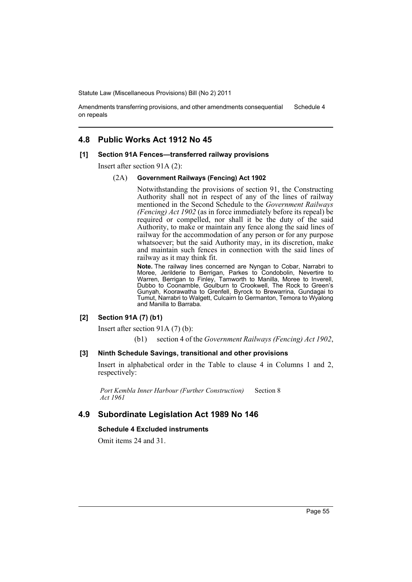Amendments transferring provisions, and other amendments consequential on repeals Schedule 4

## **4.8 Public Works Act 1912 No 45**

#### **[1] Section 91A Fences—transferred railway provisions**

Insert after section 91A (2):

#### (2A) **Government Railways (Fencing) Act 1902**

Notwithstanding the provisions of section 91, the Constructing Authority shall not in respect of any of the lines of railway mentioned in the Second Schedule to the *Government Railways (Fencing) Act 1902* (as in force immediately before its repeal) be required or compelled, nor shall it be the duty of the said Authority, to make or maintain any fence along the said lines of railway for the accommodation of any person or for any purpose whatsoever; but the said Authority may, in its discretion, make and maintain such fences in connection with the said lines of railway as it may think fit.

**Note.** The railway lines concerned are Nyngan to Cobar, Narrabri to Moree, Jerilderie to Berrigan, Parkes to Condobolin, Nevertire to Warren, Berrigan to Finley, Tamworth to Manilla, Moree to Inverell, Dubbo to Coonamble, Goulburn to Crookwell, The Rock to Green's Gunyah, Koorawatha to Grenfell, Byrock to Brewarrina, Gundagai to Tumut, Narrabri to Walgett, Culcairn to Germanton, Temora to Wyalong and Manilla to Barraba.

#### **[2] Section 91A (7) (b1)**

Insert after section 91A (7) (b):

(b1) section 4 of the *Government Railways (Fencing) Act 1902*,

#### **[3] Ninth Schedule Savings, transitional and other provisions**

Insert in alphabetical order in the Table to clause 4 in Columns 1 and 2, respectively:

*Port Kembla Inner Harbour (Further Construction) Act 1961* Section 8

## **4.9 Subordinate Legislation Act 1989 No 146**

### **Schedule 4 Excluded instruments**

Omit items 24 and 31.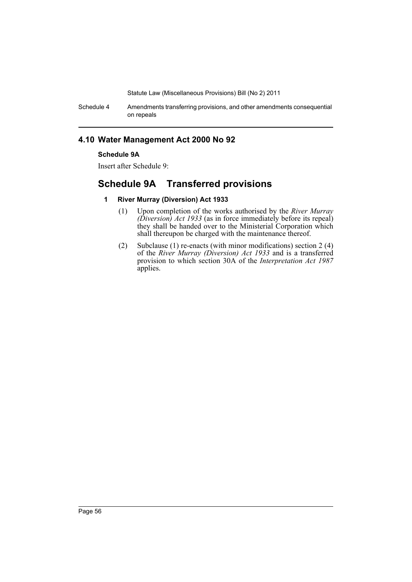Schedule 4 Amendments transferring provisions, and other amendments consequential on repeals

## **4.10 Water Management Act 2000 No 92**

## **Schedule 9A**

Insert after Schedule 9:

# **Schedule 9A Transferred provisions**

## **1 River Murray (Diversion) Act 1933**

- (1) Upon completion of the works authorised by the *River Murray (Diversion) Act 1933* (as in force immediately before its repeal) they shall be handed over to the Ministerial Corporation which shall thereupon be charged with the maintenance thereof.
- (2) Subclause (1) re-enacts (with minor modifications) section 2 (4) of the *River Murray (Diversion) Act 1933* and is a transferred provision to which section 30A of the *Interpretation Act 1987* applies.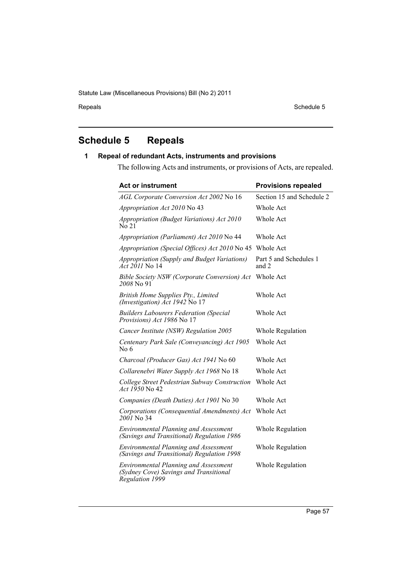Repeals Schedule 5

# **Schedule 5 Repeals**

## **1 Repeal of redundant Acts, instruments and provisions**

The following Acts and instruments, or provisions of Acts, are repealed.

| <b>Act or instrument</b>                                                                                  | <b>Provisions repealed</b>      |
|-----------------------------------------------------------------------------------------------------------|---------------------------------|
| AGL Corporate Conversion Act 2002 No 16                                                                   | Section 15 and Schedule 2       |
| Appropriation Act 2010 No 43                                                                              | Whole Act                       |
| Appropriation (Budget Variations) Act 2010<br>No 21                                                       | Whole Act                       |
| Appropriation (Parliament) Act 2010 No 44                                                                 | Whole Act                       |
| Appropriation (Special Offices) Act 2010 No 45                                                            | Whole Act                       |
| Appropriation (Supply and Budget Variations)<br><i>Act 2011</i> No 14                                     | Part 5 and Schedules 1<br>and 2 |
| Bible Society NSW (Corporate Conversion) Act<br>2008 No 91                                                | Whole Act                       |
| British Home Supplies Pty., Limited<br>(Investigation) Act 1942 No 17                                     | Whole Act                       |
| <b>Builders Labourers Federation (Special</b><br>Provisions) Act 1986 No 17                               | Whole Act                       |
| Cancer Institute (NSW) Regulation 2005                                                                    | Whole Regulation                |
| Centenary Park Sale (Conveyancing) Act 1905<br>No 6                                                       | Whole Act                       |
| Charcoal (Producer Gas) Act 1941 No 60                                                                    | Whole Act                       |
| Collarenebri Water Supply Act 1968 No 18                                                                  | Whole Act                       |
| College Street Pedestrian Subway Construction<br>Act 1950 No 42                                           | Whole Act                       |
| Companies (Death Duties) Act 1901 No 30                                                                   | Whole Act                       |
| Corporations (Consequential Amendments) Act<br>$2001$ No 34                                               | Whole Act                       |
| <b>Environmental Planning and Assessment</b><br>(Savings and Transitional) Regulation 1986                | Whole Regulation                |
| <b>Environmental Planning and Assessment</b><br>(Savings and Transitional) Regulation 1998                | Whole Regulation                |
| <b>Environmental Planning and Assessment</b><br>(Sydney Cove) Savings and Transitional<br>Regulation 1999 | Whole Regulation                |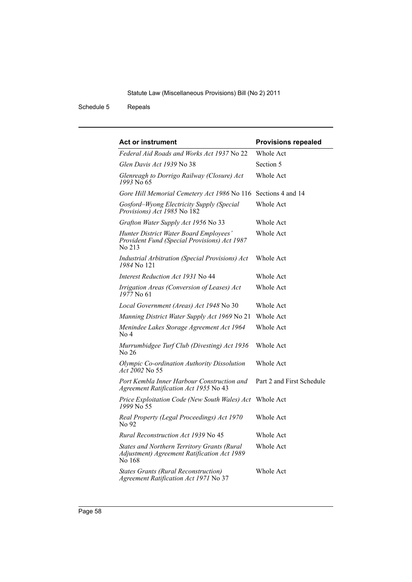Schedule 5 Repeals

| Act or instrument                                                                                    | <b>Provisions repealed</b> |
|------------------------------------------------------------------------------------------------------|----------------------------|
| Federal Aid Roads and Works Act 1937 No 22                                                           | Whole Act                  |
| Glen Davis Act 1939 No 38                                                                            | Section 5                  |
| Glenreagh to Dorrigo Railway (Closure) Act<br>1993 No 65                                             | Whole Act                  |
| Gore Hill Memorial Cemetery Act 1986 No 116 Sections 4 and 14                                        |                            |
| Gosford-Wyong Electricity Supply (Special<br>Provisions) Act 1985 No 182                             | Whole Act                  |
| Grafton Water Supply Act 1956 No 33                                                                  | Whole Act                  |
| Hunter District Water Board Employees'<br>Provident Fund (Special Provisions) Act 1987<br>No 213     | <b>Whole Act</b>           |
| <b>Industrial Arbitration (Special Provisions) Act</b><br>1984 No. 121                               | Whole Act                  |
| Interest Reduction Act 1931 No 44                                                                    | Whole Act                  |
| Irrigation Areas (Conversion of Leases) Act<br>1977 No 61                                            | Whole Act                  |
| Local Government (Areas) Act 1948 No 30                                                              | Whole Act                  |
| Manning District Water Supply Act 1969 No 21                                                         | Whole Act                  |
| Menindee Lakes Storage Agreement Act 1964<br>No <sub>4</sub>                                         | Whole Act                  |
| Murrumbidgee Turf Club (Divesting) Act 1936<br>No 26                                                 | Whole Act                  |
| Olympic Co-ordination Authority Dissolution<br>Act 2002 No 55                                        | Whole Act                  |
| Port Kembla Inner Harbour Construction and<br>Agreement Ratification Act 1955 No 43                  | Part 2 and First Schedule  |
| Price Exploitation Code (New South Wales) Act<br>1999 No 55                                          | Whole Act                  |
| Real Property (Legal Proceedings) Act 1970<br>No 92                                                  | Whole Act                  |
| <i>Rural Reconstruction Act 1939</i> No 45                                                           | Whole Act                  |
| States and Northern Territory Grants (Rural<br>Adjustment) Agreement Ratification Act 1989<br>No 168 | Whole Act                  |
| <b>States Grants (Rural Reconstruction)</b><br>Agreement Ratification Act 1971 No 37                 | Whole Act                  |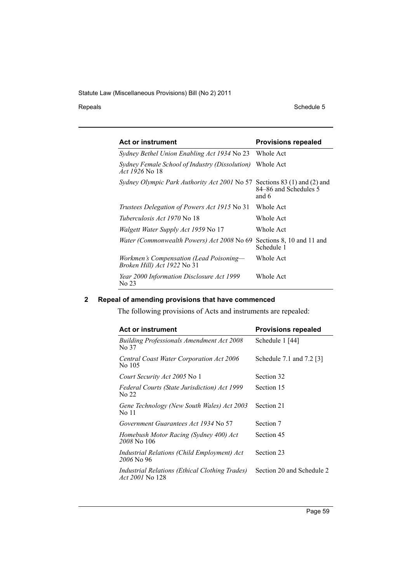Repeals Schedule 5

| <b>Act or instrument</b>                                                | <b>Provisions repealed</b>                                       |
|-------------------------------------------------------------------------|------------------------------------------------------------------|
| Sydney Bethel Union Enabling Act 1934 No 23                             | Whole Act                                                        |
| Sydney Female School of Industry (Dissolution)<br><i>Act 1926</i> No 18 | Whole Act                                                        |
| <i>Sydney Olympic Park Authority Act 2001</i> No 57                     | Sections $83(1)$ and $(2)$ and<br>84–86 and Schedules 5<br>and 6 |
| Trustees Delegation of Powers Act 1915 No 31                            | Whole Act                                                        |
| <i>Tuberculosis Act 1970</i> No 18                                      | Whole Act                                                        |
| <i>Walgett Water Supply Act 1959</i> No 17                              | Whole Act                                                        |
| Water (Commonwealth Powers) Act 2008 No 69                              | Sections 8, 10 and 11 and<br>Schedule 1                          |
| Workmen's Compensation (Lead Poisoning—<br>Broken Hill) Act 1922 No 31  | Whole Act                                                        |
| Year 2000 Information Disclosure Act 1999<br>No 23                      | Whole Act                                                        |

## **2 Repeal of amending provisions that have commenced**

The following provisions of Acts and instruments are repealed:

| <b>Act or instrument</b>                                                 | <b>Provisions repealed</b> |
|--------------------------------------------------------------------------|----------------------------|
| <b>Building Professionals Amendment Act 2008</b><br>No 37                | Schedule 1 [44]            |
| Central Coast Water Corporation Act 2006<br>No 105                       | Schedule 7.1 and 7.2 [3]   |
| Court Security Act 2005 No 1                                             | Section 32                 |
| Federal Courts (State Jurisdiction) Act 1999<br>No 22                    | Section 15                 |
| Gene Technology (New South Wales) Act 2003<br>No 11                      | Section 21                 |
| <i>Government Guarantees Act 1934</i> No 57                              | Section 7                  |
| Homebush Motor Racing (Sydney 400) Act<br>2008 No 106                    | Section 45                 |
| Industrial Relations (Child Employment) Act<br>2006 No 96                | Section 23                 |
| Industrial Relations (Ethical Clothing Trades)<br><i>Act 2001</i> No 128 | Section 20 and Schedule 2  |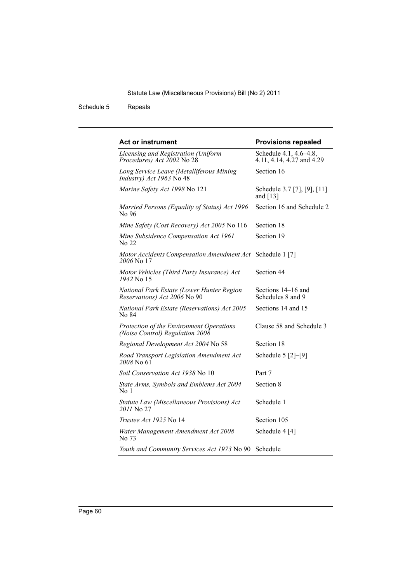Schedule 5 Repeals

| <b>Act or instrument</b>                                                    | <b>Provisions repealed</b>                          |
|-----------------------------------------------------------------------------|-----------------------------------------------------|
| Licensing and Registration (Uniform<br>Procedures) Act 2002 No 28           | Schedule 4.1, 4.6–4.8,<br>4.11, 4.14, 4.27 and 4.29 |
| Long Service Leave (Metalliferous Mining<br>Industry) Act 1963 No 48        | Section 16                                          |
| Marine Safety Act 1998 No 121                                               | Schedule 3.7 [7], [9], [11]<br>and $[13]$           |
| Married Persons (Equality of Status) Act 1996<br>No 96                      | Section 16 and Schedule 2                           |
| Mine Safety (Cost Recovery) Act 2005 No 116                                 | Section 18                                          |
| Mine Subsidence Compensation Act 1961<br>No 22                              | Section 19                                          |
| Motor Accidents Compensation Amendment Act Schedule 1 [7]<br>2006 No 17     |                                                     |
| Motor Vehicles (Third Party Insurance) Act<br>1942 No. 15                   | Section 44                                          |
| National Park Estate (Lower Hunter Region<br>Reservations) Act 2006 No 90   | Sections 14–16 and<br>Schedules 8 and 9             |
| National Park Estate (Reservations) Act 2005<br>No 84                       | Sections 14 and 15                                  |
| Protection of the Environment Operations<br>(Noise Control) Regulation 2008 | Clause 58 and Schedule 3                            |
| Regional Development Act 2004 No 58                                         | Section 18                                          |
| Road Transport Legislation Amendment Act<br>2008 No 61                      | Schedule $5$ $[2]-[9]$                              |
| Soil Conservation Act 1938 No 10                                            | Part 7                                              |
| State Arms, Symbols and Emblems Act 2004<br>No 1                            | Section 8                                           |
| Statute Law (Miscellaneous Provisions) Act<br>2011 No 27                    | Schedule 1                                          |
| <i>Trustee Act 1925</i> No 14                                               | Section 105                                         |
| Water Management Amendment Act 2008<br>No 73                                | Schedule 4 [4]                                      |
| Youth and Community Services Act 1973 No 90 Schedule                        |                                                     |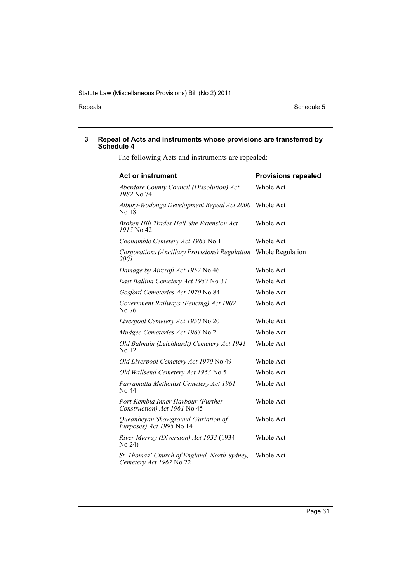Repeals Schedule 5

#### **3 Repeal of Acts and instruments whose provisions are transferred by Schedule 4**

The following Acts and instruments are repealed:

| <b>Act or instrument</b>                                                | <b>Provisions repealed</b> |
|-------------------------------------------------------------------------|----------------------------|
| Aberdare County Council (Dissolution) Act<br>1982 No 74                 | Whole Act                  |
| Albury-Wodonga Development Repeal Act 2000 Whole Act<br>No 18           |                            |
| Broken Hill Trades Hall Site Extension Act<br>1915 No 42                | Whole Act                  |
| Coonamble Cemetery Act 1963 No 1                                        | Whole Act                  |
| Corporations (Ancillary Provisions) Regulation<br>2001                  | Whole Regulation           |
| Damage by Aircraft Act 1952 No 46                                       | Whole Act                  |
| East Ballina Cemetery Act 1957 No 37                                    | Whole Act                  |
| Gosford Cemeteries Act 1970 No 84                                       | Whole Act                  |
| Government Railways (Fencing) Act 1902<br>No 76                         | Whole Act                  |
| Liverpool Cemetery Act 1950 No 20                                       | Whole Act                  |
| Mudgee Cemeteries Act 1963 No 2                                         | Whole Act                  |
| Old Balmain (Leichhardt) Cemetery Act 1941<br>No 12                     | <b>Whole Act</b>           |
| Old Liverpool Cemetery Act 1970 No 49                                   | Whole Act                  |
| <i>Old Wallsend Cemetery Act 1953</i> No 5                              | Whole Act                  |
| Parramatta Methodist Cemetery Act 1961<br>No 44                         | Whole Act                  |
| Port Kembla Inner Harbour (Further<br>Construction) Act 1961 No 45      | Whole Act                  |
| Queanbeyan Showground (Variation of<br>$P$ urposes) Act 1995 No 14      | Whole Act                  |
| River Murray (Diversion) Act 1933 (1934<br>No 24)                       | Whole Act                  |
| St. Thomas' Church of England, North Sydney,<br>Cemetery Act 1967 No 22 | <b>Whole Act</b>           |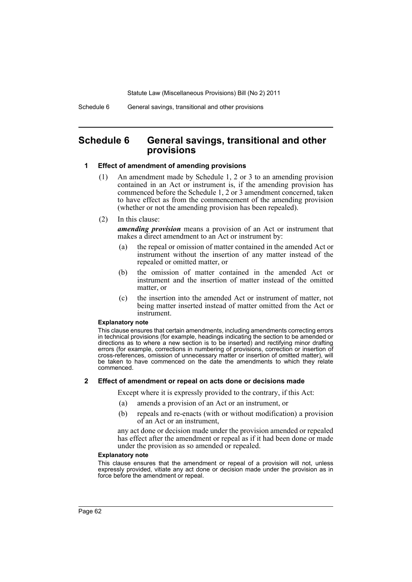## **Schedule 6 General savings, transitional and other provisions**

#### **1 Effect of amendment of amending provisions**

- (1) An amendment made by Schedule 1, 2 or 3 to an amending provision contained in an Act or instrument is, if the amending provision has commenced before the Schedule 1, 2 or 3 amendment concerned, taken to have effect as from the commencement of the amending provision (whether or not the amending provision has been repealed).
- (2) In this clause:

*amending provision* means a provision of an Act or instrument that makes a direct amendment to an Act or instrument by:

- (a) the repeal or omission of matter contained in the amended Act or instrument without the insertion of any matter instead of the repealed or omitted matter, or
- (b) the omission of matter contained in the amended Act or instrument and the insertion of matter instead of the omitted matter, or
- (c) the insertion into the amended Act or instrument of matter, not being matter inserted instead of matter omitted from the Act or instrument.

#### **Explanatory note**

This clause ensures that certain amendments, including amendments correcting errors in technical provisions (for example, headings indicating the section to be amended or directions as to where a new section is to be inserted) and rectifying minor drafting errors (for example, corrections in numbering of provisions, correction or insertion of cross-references, omission of unnecessary matter or insertion of omitted matter), will be taken to have commenced on the date the amendments to which they relate commenced.

#### **2 Effect of amendment or repeal on acts done or decisions made**

Except where it is expressly provided to the contrary, if this Act:

- (a) amends a provision of an Act or an instrument, or
- (b) repeals and re-enacts (with or without modification) a provision of an Act or an instrument,

any act done or decision made under the provision amended or repealed has effect after the amendment or repeal as if it had been done or made under the provision as so amended or repealed.

#### **Explanatory note**

This clause ensures that the amendment or repeal of a provision will not, unless expressly provided, vitiate any act done or decision made under the provision as in force before the amendment or repeal.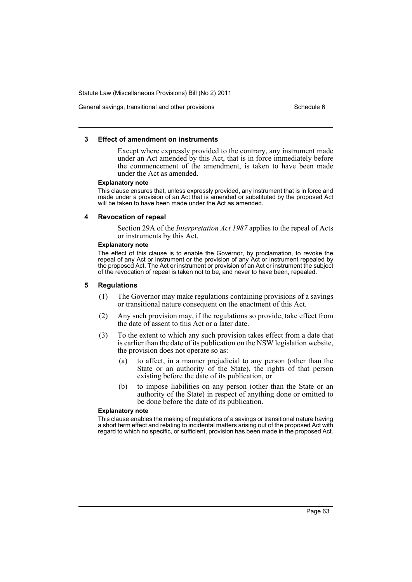General savings, transitional and other provisions Schedule 6 Schedule 6

#### **3 Effect of amendment on instruments**

Except where expressly provided to the contrary, any instrument made under an Act amended by this Act, that is in force immediately before the commencement of the amendment, is taken to have been made under the Act as amended.

#### **Explanatory note**

This clause ensures that, unless expressly provided, any instrument that is in force and made under a provision of an Act that is amended or substituted by the proposed Act will be taken to have been made under the Act as amended.

#### **4 Revocation of repeal**

Section 29A of the *Interpretation Act 1987* applies to the repeal of Acts or instruments by this Act.

#### **Explanatory note**

The effect of this clause is to enable the Governor, by proclamation, to revoke the repeal of any Act or instrument or the provision of any Act or instrument repealed by the proposed Act. The Act or instrument or provision of an Act or instrument the subject of the revocation of repeal is taken not to be, and never to have been, repealed.

#### **5 Regulations**

- (1) The Governor may make regulations containing provisions of a savings or transitional nature consequent on the enactment of this Act.
- (2) Any such provision may, if the regulations so provide, take effect from the date of assent to this Act or a later date.
- (3) To the extent to which any such provision takes effect from a date that is earlier than the date of its publication on the NSW legislation website, the provision does not operate so as:
	- (a) to affect, in a manner prejudicial to any person (other than the State or an authority of the State), the rights of that person existing before the date of its publication, or
	- (b) to impose liabilities on any person (other than the State or an authority of the State) in respect of anything done or omitted to be done before the date of its publication.

#### **Explanatory note**

This clause enables the making of regulations of a savings or transitional nature having a short term effect and relating to incidental matters arising out of the proposed Act with regard to which no specific, or sufficient, provision has been made in the proposed Act.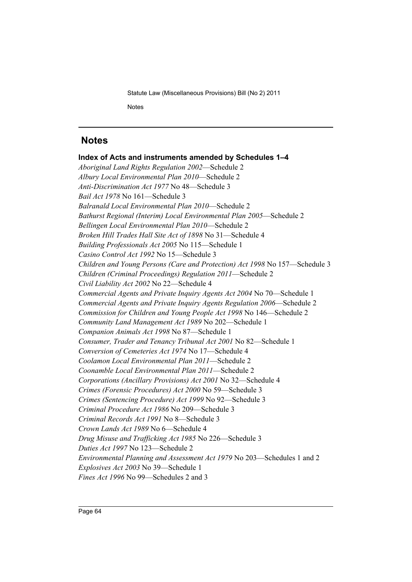# **Notes**

**Index of Acts and instruments amended by Schedules 1–4** *Aboriginal Land Rights Regulation 2002*—Schedule 2 *Albury Local Environmental Plan 2010*—Schedule 2 *Anti-Discrimination Act 1977* No 48—Schedule 3 *Bail Act 1978* No 161—Schedule 3 *Balranald Local Environmental Plan 2010*—Schedule 2 *Bathurst Regional (Interim) Local Environmental Plan 2005*—Schedule 2 *Bellingen Local Environmental Plan 2010*—Schedule 2 *Broken Hill Trades Hall Site Act of 1898* No 31—Schedule 4 *Building Professionals Act 2005* No 115—Schedule 1 *Casino Control Act 1992* No 15—Schedule 3 *Children and Young Persons (Care and Protection) Act 1998* No 157—Schedule 3 *Children (Criminal Proceedings) Regulation 2011*—Schedule 2 *Civil Liability Act 2002* No 22—Schedule 4 *Commercial Agents and Private Inquiry Agents Act 2004* No 70—Schedule 1 *Commercial Agents and Private Inquiry Agents Regulation 2006*—Schedule 2 *Commission for Children and Young People Act 1998* No 146—Schedule 2 *Community Land Management Act 1989* No 202—Schedule 1 *Companion Animals Act 1998* No 87—Schedule 1 *Consumer, Trader and Tenancy Tribunal Act 2001* No 82—Schedule 1 *Conversion of Cemeteries Act 1974* No 17—Schedule 4 *Coolamon Local Environmental Plan 2011*—Schedule 2 *Coonamble Local Environmental Plan 2011*—Schedule 2 *Corporations (Ancillary Provisions) Act 2001* No 32—Schedule 4 *Crimes (Forensic Procedures) Act 2000* No 59—Schedule 3 *Crimes (Sentencing Procedure) Act 1999* No 92—Schedule 3 *Criminal Procedure Act 1986* No 209—Schedule 3 *Criminal Records Act 1991* No 8—Schedule 3 *Crown Lands Act 1989* No 6—Schedule 4 *Drug Misuse and Trafficking Act 1985* No 226—Schedule 3 *Duties Act 1997* No 123—Schedule 2 *Environmental Planning and Assessment Act 1979* No 203—Schedules 1 and 2 *Explosives Act 2003* No 39—Schedule 1 *Fines Act 1996* No 99—Schedules 2 and 3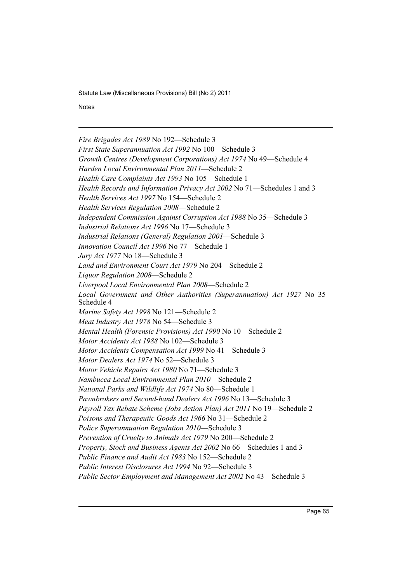**Notes** 

*Fire Brigades Act 1989* No 192—Schedule 3 *First State Superannuation Act 1992* No 100—Schedule 3 *Growth Centres (Development Corporations) Act 1974* No 49—Schedule 4 *Harden Local Environmental Plan 2011*—Schedule 2 *Health Care Complaints Act 1993* No 105—Schedule 1 *Health Records and Information Privacy Act 2002* No 71—Schedules 1 and 3 *Health Services Act 1997* No 154—Schedule 2 *Health Services Regulation 2008*—Schedule 2 *Independent Commission Against Corruption Act 1988* No 35—Schedule 3 *Industrial Relations Act 1996* No 17—Schedule 3 *Industrial Relations (General) Regulation 2001*—Schedule 3 *Innovation Council Act 1996* No 77—Schedule 1 *Jury Act 1977* No 18—Schedule 3 *Land and Environment Court Act 1979* No 204—Schedule 2 *Liquor Regulation 2008*—Schedule 2 *Liverpool Local Environmental Plan 2008*—Schedule 2 *Local Government and Other Authorities (Superannuation) Act 1927* No 35— Schedule 4 *Marine Safety Act 1998* No 121—Schedule 2 *Meat Industry Act 1978* No 54—Schedule 3 *Mental Health (Forensic Provisions) Act 1990* No 10—Schedule 2 *Motor Accidents Act 1988* No 102—Schedule 3 *Motor Accidents Compensation Act 1999* No 41—Schedule 3 *Motor Dealers Act 1974* No 52—Schedule 3 *Motor Vehicle Repairs Act 1980* No 71—Schedule 3 *Nambucca Local Environmental Plan 2010*—Schedule 2 *National Parks and Wildlife Act 1974* No 80—Schedule 1 *Pawnbrokers and Second-hand Dealers Act 1996* No 13—Schedule 3 *Payroll Tax Rebate Scheme (Jobs Action Plan) Act 2011* No 19—Schedule 2 *Poisons and Therapeutic Goods Act 1966* No 31—Schedule 2 *Police Superannuation Regulation 2010*—Schedule 3 *Prevention of Cruelty to Animals Act 1979* No 200—Schedule 2 *Property, Stock and Business Agents Act 2002* No 66—Schedules 1 and 3 *Public Finance and Audit Act 1983* No 152—Schedule 2 *Public Interest Disclosures Act 1994* No 92—Schedule 3 *Public Sector Employment and Management Act 2002* No 43—Schedule 3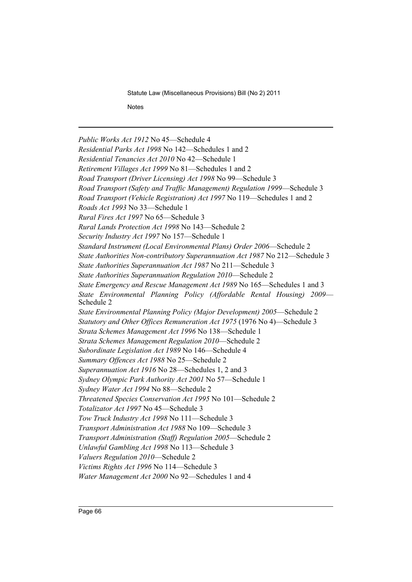**Notes** 

*Public Works Act 1912* No 45—Schedule 4 *Residential Parks Act 1998* No 142—Schedules 1 and 2 *Residential Tenancies Act 2010* No 42—Schedule 1 *Retirement Villages Act 1999* No 81—Schedules 1 and 2 *Road Transport (Driver Licensing) Act 1998* No 99—Schedule 3 *Road Transport (Safety and Traffic Management) Regulation 1999*—Schedule 3 *Road Transport (Vehicle Registration) Act 1997* No 119—Schedules 1 and 2 *Roads Act 1993* No 33—Schedule 1 *Rural Fires Act 1997* No 65—Schedule 3 *Rural Lands Protection Act 1998* No 143—Schedule 2 *Security Industry Act 1997* No 157—Schedule 1 *Standard Instrument (Local Environmental Plans) Order 2006*—Schedule 2 *State Authorities Non-contributory Superannuation Act 1987* No 212—Schedule 3 *State Authorities Superannuation Act 1987* No 211—Schedule 3 *State Authorities Superannuation Regulation 2010*—Schedule 2 *State Emergency and Rescue Management Act 1989* No 165—Schedules 1 and 3 *State Environmental Planning Policy (Affordable Rental Housing) 2009*— Schedule 2 *State Environmental Planning Policy (Major Development) 2005*—Schedule 2 *Statutory and Other Offices Remuneration Act 1975* (1976 No 4)—Schedule 3 *Strata Schemes Management Act 1996* No 138—Schedule 1 *Strata Schemes Management Regulation 2010*—Schedule 2 *Subordinate Legislation Act 1989* No 146—Schedule 4 *Summary Offences Act 1988* No 25—Schedule 2 *Superannuation Act 1916* No 28—Schedules 1, 2 and 3 *Sydney Olympic Park Authority Act 2001* No 57—Schedule 1 *Sydney Water Act 1994* No 88—Schedule 2 *Threatened Species Conservation Act 1995* No 101—Schedule 2 *Totalizator Act 1997* No 45—Schedule 3 *Tow Truck Industry Act 1998* No 111—Schedule 3 *Transport Administration Act 1988* No 109—Schedule 3 *Transport Administration (Staff) Regulation 2005*—Schedule 2 *Unlawful Gambling Act 1998* No 113—Schedule 3 *Valuers Regulation 2010*—Schedule 2 *Victims Rights Act 1996* No 114—Schedule 3 *Water Management Act 2000* No 92—Schedules 1 and 4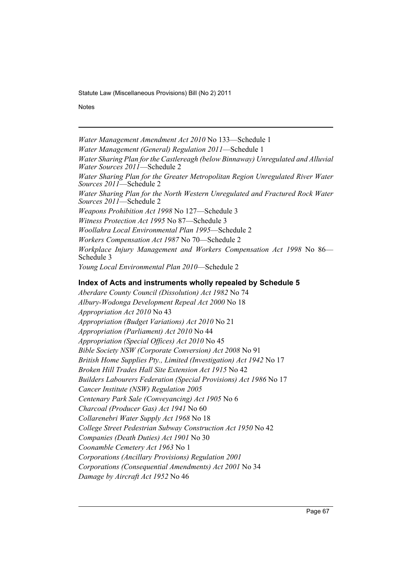**Notes** 

*Water Management Amendment Act 2010* No 133—Schedule 1 *Water Management (General) Regulation 2011*—Schedule 1 *Water Sharing Plan for the Castlereagh (below Binnaway) Unregulated and Alluvial Water Sources 2011*—Schedule 2 *Water Sharing Plan for the Greater Metropolitan Region Unregulated River Water Sources 2011*—Schedule 2 *Water Sharing Plan for the North Western Unregulated and Fractured Rock Water Sources 2011*—Schedule 2 *Weapons Prohibition Act 1998* No 127—Schedule 3 *Witness Protection Act 1995* No 87—Schedule 3 *Woollahra Local Environmental Plan 1995*—Schedule 2 *Workers Compensation Act 1987* No 70—Schedule 2 *Workplace Injury Management and Workers Compensation Act 1998* No 86— Schedule 3 *Young Local Environmental Plan 2010*—Schedule 2

## **Index of Acts and instruments wholly repealed by Schedule 5**

*Aberdare County Council (Dissolution) Act 1982* No 74 *Albury-Wodonga Development Repeal Act 2000* No 18 *Appropriation Act 2010* No 43 *Appropriation (Budget Variations) Act 2010* No 21 *Appropriation (Parliament) Act 2010* No 44 *Appropriation (Special Offices) Act 2010* No 45 *Bible Society NSW (Corporate Conversion) Act 2008* No 91 *British Home Supplies Pty., Limited (Investigation) Act 1942* No 17 *Broken Hill Trades Hall Site Extension Act 1915* No 42 *Builders Labourers Federation (Special Provisions) Act 1986* No 17 *Cancer Institute (NSW) Regulation 2005 Centenary Park Sale (Conveyancing) Act 1905* No 6 *Charcoal (Producer Gas) Act 1941* No 60 *Collarenebri Water Supply Act 1968* No 18 *College Street Pedestrian Subway Construction Act 1950* No 42 *Companies (Death Duties) Act 1901* No 30 *Coonamble Cemetery Act 1963* No 1 *Corporations (Ancillary Provisions) Regulation 2001 Corporations (Consequential Amendments) Act 2001* No 34 *Damage by Aircraft Act 1952* No 46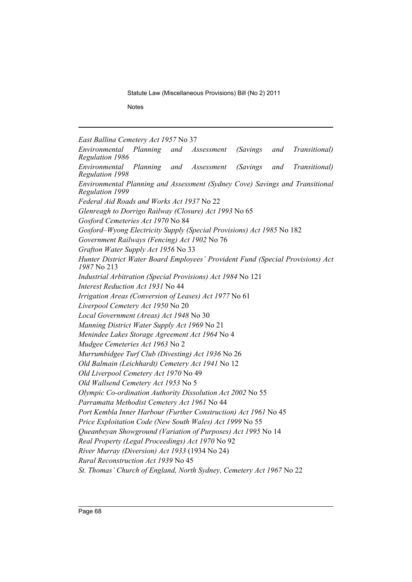**Notes** 

*East Ballina Cemetery Act 1957* No 37

*Environmental Planning and Assessment (Savings and Transitional) Regulation 1986 Environmental Planning and Assessment (Savings and Transitional) Regulation 1998 Environmental Planning and Assessment (Sydney Cove) Savings and Transitional Regulation 1999 Federal Aid Roads and Works Act 1937* No 22 *Glenreagh to Dorrigo Railway (Closure) Act 1993* No 65 *Gosford Cemeteries Act 1970* No 84 *Gosford–Wyong Electricity Supply (Special Provisions) Act 1985* No 182 *Government Railways (Fencing) Act 1902* No 76 *Grafton Water Supply Act 1956* No 33 *Hunter District Water Board Employees' Provident Fund (Special Provisions) Act 1987* No 213 *Industrial Arbitration (Special Provisions) Act 1984* No 121 *Interest Reduction Act 1931* No 44 *Irrigation Areas (Conversion of Leases) Act 1977* No 61 *Liverpool Cemetery Act 1950* No 20 *Local Government (Areas) Act 1948* No 30 *Manning District Water Supply Act 1969* No 21 *Menindee Lakes Storage Agreement Act 1964* No 4 *Mudgee Cemeteries Act 1963* No 2 *Murrumbidgee Turf Club (Divesting) Act 1936* No 26 *Old Balmain (Leichhardt) Cemetery Act 1941* No 12 *Old Liverpool Cemetery Act 1970* No 49 *Old Wallsend Cemetery Act 1953* No 5 *Olympic Co-ordination Authority Dissolution Act 2002* No 55 *Parramatta Methodist Cemetery Act 1961* No 44 *Port Kembla Inner Harbour (Further Construction) Act 1961* No 45 *Price Exploitation Code (New South Wales) Act 1999* No 55 *Queanbeyan Showground (Variation of Purposes) Act 1995* No 14 *Real Property (Legal Proceedings) Act 1970* No 92 *River Murray (Diversion) Act 1933* (1934 No 24) *Rural Reconstruction Act 1939* No 45 *St. Thomas' Church of England, North Sydney, Cemetery Act 1967* No 22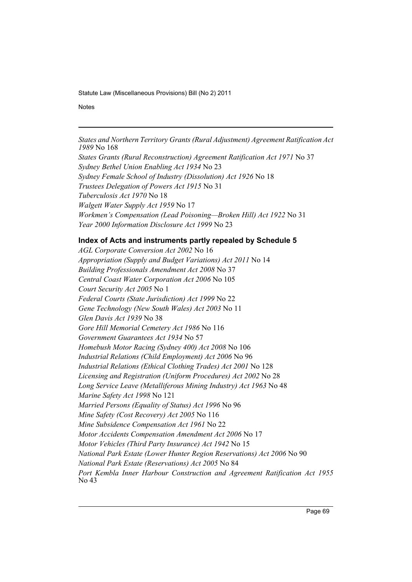**Notes** 

*States and Northern Territory Grants (Rural Adjustment) Agreement Ratification Act 1989* No 168

*States Grants (Rural Reconstruction) Agreement Ratification Act 1971* No 37 *Sydney Bethel Union Enabling Act 1934* No 23 *Sydney Female School of Industry (Dissolution) Act 1926* No 18 *Trustees Delegation of Powers Act 1915* No 31 *Tuberculosis Act 1970* No 18 *Walgett Water Supply Act 1959* No 17 *Workmen's Compensation (Lead Poisoning—Broken Hill) Act 1922* No 31 *Year 2000 Information Disclosure Act 1999* No 23

## **Index of Acts and instruments partly repealed by Schedule 5**

*AGL Corporate Conversion Act 2002* No 16 *Appropriation (Supply and Budget Variations) Act 2011* No 14 *Building Professionals Amendment Act 2008* No 37 *Central Coast Water Corporation Act 2006* No 105 *Court Security Act 2005* No 1 *Federal Courts (State Jurisdiction) Act 1999* No 22 *Gene Technology (New South Wales) Act 2003* No 11 *Glen Davis Act 1939* No 38 *Gore Hill Memorial Cemetery Act 1986* No 116 *Government Guarantees Act 1934* No 57 *Homebush Motor Racing (Sydney 400) Act 2008* No 106 *Industrial Relations (Child Employment) Act 2006* No 96 *Industrial Relations (Ethical Clothing Trades) Act 2001* No 128 *Licensing and Registration (Uniform Procedures) Act 2002* No 28 *Long Service Leave (Metalliferous Mining Industry) Act 1963* No 48 *Marine Safety Act 1998* No 121 *Married Persons (Equality of Status) Act 1996* No 96 *Mine Safety (Cost Recovery) Act 2005* No 116 *Mine Subsidence Compensation Act 1961* No 22 *Motor Accidents Compensation Amendment Act 2006* No 17 *Motor Vehicles (Third Party Insurance) Act 1942* No 15 *National Park Estate (Lower Hunter Region Reservations) Act 2006* No 90 *National Park Estate (Reservations) Act 2005* No 84 *Port Kembla Inner Harbour Construction and Agreement Ratification Act 1955* No 43